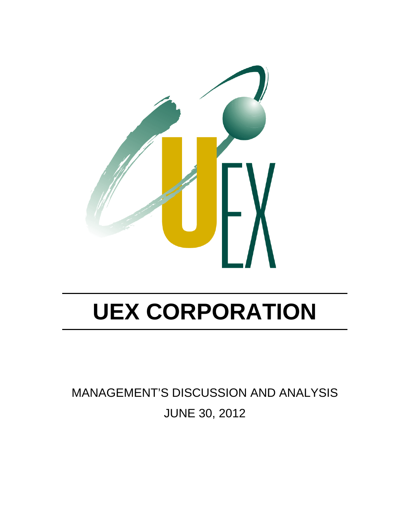

MANAGEMENT'S DISCUSSION AND ANALYSIS JUNE 30, 2012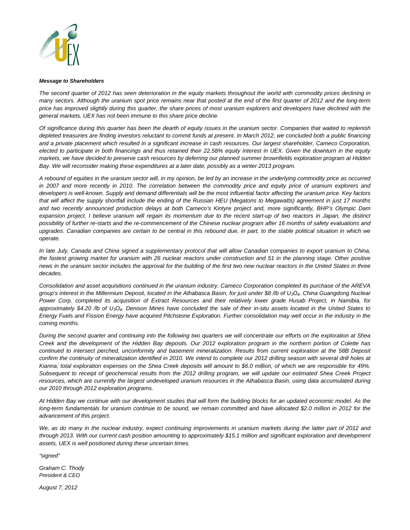

#### *Message to Shareholders*

*The second quarter of 2012 has seen deterioration in the equity markets throughout the world with commodity prices declining in many sectors. Although the uranium spot price remains near that posted at the end of the first quarter of 2012 and the long-term price has improved slightly during this quarter, the share prices of most uranium explorers and developers have declined with the general markets. UEX has not been immune to this share price decline.* 

*Of significance during this quarter has been the dearth of equity issues in the uranium sector. Companies that waited to replenish*  depleted treasuries are finding investors reluctant to commit funds at present. In March 2012, we concluded both a public financing *and a private placement which resulted in a significant increase in cash resources. Our largest shareholder, Cameco Corporation, elected to participate in both financings and thus retained their 22.58% equity interest in UEX. Given the downturn in the equity markets, we have decided to preserve cash resources by deferring our planned summer brownfields exploration program at Hidden*  Bay. We will reconsider making these expenditures at a later date, possibly as a winter 2013 program.

*A rebound of equities in the uranium sector will, in my opinion, be led by an increase in the underlying commodity price as occurred in 2007 and more recently in 2010. The correlation between the commodity price and equity price of uranium explorers and developers is well-known. Supply and demand differentials will be the most influential factor affecting the uranium price. Key factors that will affect the supply shortfall include the ending of the Russian HEU (Megatons to Megawatts) agreement in just 17 months and two recently announced production delays at both Cameco's Kintyre project and, more significantly, BHP's Olympic Dam expansion project. I believe uranium will regain its momentum due to the recent start-up of two reactors in Japan, the distinct possibility of further re-starts and the re-commencement of the Chinese nuclear program after 16 months of safety evaluations and upgrades. Canadian companies are certain to be central in this rebound due, in part, to the stable political situation in which we operate.* 

*In late July, Canada and China signed a supplementary protocol that will allow Canadian companies to export uranium to China, the fastest growing market for uranium with 26 nuclear reactors under construction and 51 in the planning stage. Other positive news in the uranium sector includes the approval for the building of the first two new nuclear reactors in the United States in three decades.* 

*Consolidation and asset acquisitions continued in the uranium industry. Cameco Corporation completed its purchase of the AREVA group's interest in the Millennium Deposit, located in the Athabasca Basin, for just under \$8 /lb of U3O8. China Guangdong Nuclear Power Corp. completed its acquisition of Extract Resources and their relatively lower grade Husab Project, in Namibia, for approximately \$4.20 /lb of U3O8. Denison Mines have concluded the sale of their in-situ assets located in the United States to*  Energy Fuels and Fission Energy have acquired Pitchstone Exploration. Further consolidation may well occur in the industry in the *coming months.* 

*During the second quarter and continuing into the following two quarters we will concentrate our efforts on the exploration at Shea Creek and the development of the Hidden Bay deposits. Our 2012 exploration program in the northern portion of Colette has continued to intersect perched, unconformity and basement mineralization. Results from current exploration at the 58B Deposit confirm the continuity of mineralization identified in 2010. We intend to complete our 2012 drilling season with several drill holes at Kianna; total exploration expenses on the Shea Creek deposits will amount to \$6.0 million, of which we are responsible for 49%. Subsequent to receipt of geochemical results from the 2012 drilling program, we will update our estimated Shea Creek Project resources, which are currently the largest undeveloped uranium resources in the Athabasca Basin, using data accumulated during our 2010 through 2012 exploration programs.* 

*At Hidden Bay we continue with our development studies that will form the building blocks for an updated economic model. As the* long-term fundamentals for uranium continue to be sound, we remain committed and have allocated \$2.0 million in 2012 for the *advancement of this project.* 

We, as do many in the nuclear industry, expect continuing improvements in uranium markets during the latter part of 2012 and *through 2013. With our current cash position amounting to approximately \$15.1 million and significant exploration and development assets, UEX is well positioned during these uncertain times.* 

*"signed"* 

*Graham C. Thody President & CEO* 

*August 7, 2012*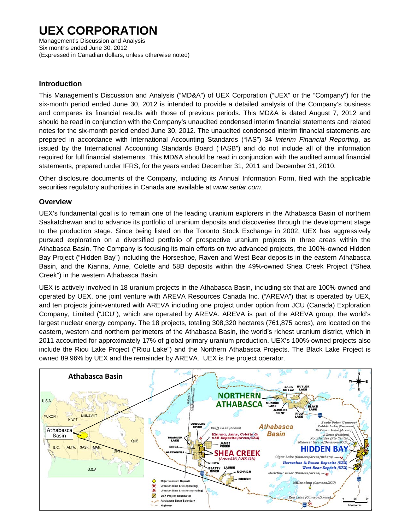Management's Discussion and Analysis Six months ended June 30, 2012 (Expressed in Canadian dollars, unless otherwise noted)

### **Introduction**

This Management's Discussion and Analysis ("MD&A") of UEX Corporation ("UEX" or the "Company") for the six-month period ended June 30, 2012 is intended to provide a detailed analysis of the Company's business and compares its financial results with those of previous periods. This MD&A is dated August 7, 2012 and should be read in conjunction with the Company's unaudited condensed interim financial statements and related notes for the six-month period ended June 30, 2012. The unaudited condensed interim financial statements are prepared in accordance with International Accounting Standards ("IAS") 34 *Interim Financial Reporting*, as issued by the International Accounting Standards Board ("IASB") and do not include all of the information required for full financial statements. This MD&A should be read in conjunction with the audited annual financial statements, prepared under IFRS, for the years ended December 31, 2011 and December 31, 2010.

Other disclosure documents of the Company, including its Annual Information Form, filed with the applicable securities regulatory authorities in Canada are available at *www.sedar.com*.

### **Overview**

UEX's fundamental goal is to remain one of the leading uranium explorers in the Athabasca Basin of northern Saskatchewan and to advance its portfolio of uranium deposits and discoveries through the development stage to the production stage. Since being listed on the Toronto Stock Exchange in 2002, UEX has aggressively pursued exploration on a diversified portfolio of prospective uranium projects in three areas within the Athabasca Basin. The Company is focusing its main efforts on two advanced projects, the 100%-owned Hidden Bay Project ("Hidden Bay") including the Horseshoe, Raven and West Bear deposits in the eastern Athabasca Basin, and the Kianna, Anne, Colette and 58B deposits within the 49%-owned Shea Creek Project ("Shea Creek") in the western Athabasca Basin.

UEX is actively involved in 18 uranium projects in the Athabasca Basin, including six that are 100% owned and operated by UEX, one joint venture with AREVA Resources Canada Inc. ("AREVA") that is operated by UEX, and ten projects joint-ventured with AREVA including one project under option from JCU (Canada) Exploration Company, Limited ("JCU"), which are operated by AREVA. AREVA is part of the AREVA group, the world's largest nuclear energy company. The 18 projects, totaling 308,320 hectares (761,875 acres), are located on the eastern, western and northern perimeters of the Athabasca Basin, the world's richest uranium district, which in 2011 accounted for approximately 17% of global primary uranium production. UEX's 100%-owned projects also include the Riou Lake Project ("Riou Lake") and the Northern Athabasca Projects. The Black Lake Project is owned 89.96% by UEX and the remainder by AREVA. UEX is the project operator.

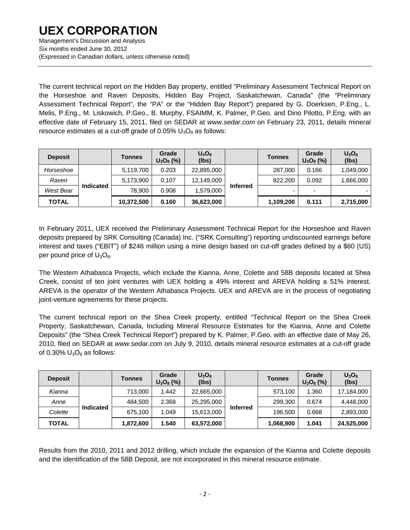Six months ended June 30, 2012 (Expressed in Canadian dollars, unless otherwise noted)

The current technical report on the Hidden Bay property, entitled "Preliminary Assessment Technical Report on the Horseshoe and Raven Deposits, Hidden Bay Project, Saskatchewan, Canada" (the "Preliminary Assessment Technical Report", the "PA" or the "Hidden Bay Report") prepared by G. Doerksen, P.Eng., L. Melis, P.Eng., M. Liskowich, P.Geo., B. Murphy, FSAIMM, K. Palmer, P.Geo. and Dino Pilotto, P.Eng. with an effective date of February 15, 2011, filed on SEDAR at *www.sedar.com* on February 23, 2011, details mineral resource estimates at a cut-off grade of  $0.05\%$  U<sub>3</sub>O<sub>8</sub> as follows:

| <b>Deposit</b> |                  | <b>Tonnes</b> | Grade<br>$U_3O_8$ (%) | $U_3O_8$<br>(lbs) |                 | <b>Tonnes</b> | Grade<br>$U_3O_8$ (%) | $U_3O_8$<br>(lbs) |
|----------------|------------------|---------------|-----------------------|-------------------|-----------------|---------------|-----------------------|-------------------|
| Horseshoe      |                  | 5,119,700     | 0.203                 | 22,895,000        |                 | 287,000       | 0.166                 | 1,049,000         |
| Raven          |                  | 5,173,900     | 0.107                 | 12,149,000        |                 | 822,200       | 0.092                 | 1,666,000         |
| West Bear      | <b>Indicated</b> | 78.900        | 0.908                 | 1,579,000         | <b>Inferred</b> | -             |                       |                   |
| <b>TOTAL</b>   |                  | 10,372,500    | 0.160                 | 36,623,000        |                 | 1,109,200     | 0.111                 | 2,715,000         |

In February 2011, UEX received the Preliminary Assessment Technical Report for the Horseshoe and Raven deposits prepared by SRK Consulting (Canada) Inc. ("SRK Consulting") reporting undiscounted earnings before interest and taxes ("EBIT") of \$246 million using a mine design based on cut-off grades defined by a \$60 (US) per pound price of  $U_3O_8$ .

The Western Athabasca Projects, which include the Kianna, Anne, Colette and 58B deposits located at Shea Creek, consist of ten joint ventures with UEX holding a 49% interest and AREVA holding a 51% interest. AREVA is the operator of the Western Athabasca Projects. UEX and AREVA are in the process of negotiating joint-venture agreements for these projects.

The current technical report on the Shea Creek property, entitled "Technical Report on the Shea Creek Property, Saskatchewan, Canada, Including Mineral Resource Estimates for the Kianna, Anne and Colette Deposits" (the "Shea Creek Technical Report") prepared by K. Palmer, P.Geo. with an effective date of May 26, 2010, filed on SEDAR at *www.sedar.com* on July 9, 2010, details mineral resource estimates at a cut-off grade of 0.30%  $U_3O_8$  as follows:

| <b>Deposit</b> |                  | <b>Tonnes</b> | Grade<br>$U_3O_8$ (%) | $U_3O_8$<br>(lbs) |                 | <b>Tonnes</b> | Grade<br>$U_3O_8$ (%) | $U_3O_8$<br>(lbs) |
|----------------|------------------|---------------|-----------------------|-------------------|-----------------|---------------|-----------------------|-------------------|
| Kianna         |                  | 713.000       | 1.442                 | 22,665,000        |                 | 573,100       | 1.360                 | 17,184,000        |
| Anne           |                  | 484,500       | 2.368                 | 25,295,000        |                 | 299,300       | 0.674                 | 4,448,000         |
| Colette        | <b>Indicated</b> | 675.100       | 1.049                 | 15,613,000        | <b>Inferred</b> | 196.500       | 0.668                 | 2,893,000         |
| <b>TOTAL</b>   |                  | 1,872,600     | 1.540                 | 63,572,000        |                 | 1,068,900     | 1.041                 | 24,525,000        |

Results from the 2010, 2011 and 2012 drilling, which include the expansion of the Kianna and Colette deposits and the identification of the 58B Deposit, are not incorporated in this mineral resource estimate.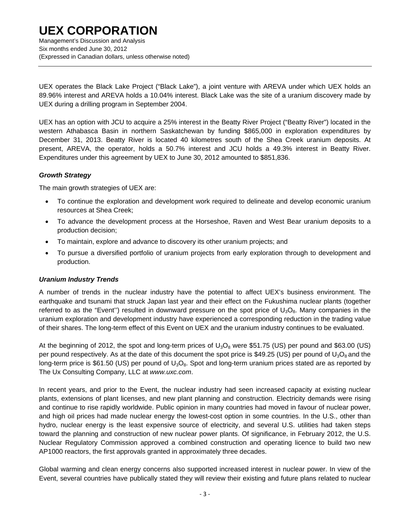Management's Discussion and Analysis Six months ended June 30, 2012 (Expressed in Canadian dollars, unless otherwise noted)

UEX operates the Black Lake Project ("Black Lake"), a joint venture with AREVA under which UEX holds an 89.96% interest and AREVA holds a 10.04% interest. Black Lake was the site of a uranium discovery made by UEX during a drilling program in September 2004.

UEX has an option with JCU to acquire a 25% interest in the Beatty River Project ("Beatty River") located in the western Athabasca Basin in northern Saskatchewan by funding \$865,000 in exploration expenditures by December 31, 2013. Beatty River is located 40 kilometres south of the Shea Creek uranium deposits. At present, AREVA, the operator, holds a 50.7% interest and JCU holds a 49.3% interest in Beatty River. Expenditures under this agreement by UEX to June 30, 2012 amounted to \$851,836.

#### *Growth Strategy*

The main growth strategies of UEX are:

- To continue the exploration and development work required to delineate and develop economic uranium resources at Shea Creek;
- To advance the development process at the Horseshoe, Raven and West Bear uranium deposits to a production decision;
- To maintain, explore and advance to discovery its other uranium projects; and
- To pursue a diversified portfolio of uranium projects from early exploration through to development and production.

### *Uranium Industry Trends*

A number of trends in the nuclear industry have the potential to affect UEX's business environment. The earthquake and tsunami that struck Japan last year and their effect on the Fukushima nuclear plants (together referred to as the "Event") resulted in downward pressure on the spot price of  $U_3O_8$ . Many companies in the uranium exploration and development industry have experienced a corresponding reduction in the trading value of their shares. The long-term effect of this Event on UEX and the uranium industry continues to be evaluated.

At the beginning of 2012, the spot and long-term prices of  $U_3O_8$  were \$51.75 (US) per pound and \$63.00 (US) per pound respectively. As at the date of this document the spot price is \$49.25 (US) per pound of  $U_3O_8$  and the long-term price is \$61.50 (US) per pound of  $U_3O_8$ . Spot and long-term uranium prices stated are as reported by The Ux Consulting Company, LLC at *www.uxc.com*.

In recent years, and prior to the Event, the nuclear industry had seen increased capacity at existing nuclear plants, extensions of plant licenses, and new plant planning and construction. Electricity demands were rising and continue to rise rapidly worldwide. Public opinion in many countries had moved in favour of nuclear power, and high oil prices had made nuclear energy the lowest-cost option in some countries. In the U.S., other than hydro, nuclear energy is the least expensive source of electricity, and several U.S. utilities had taken steps toward the planning and construction of new nuclear power plants. Of significance, in February 2012, the U.S. Nuclear Regulatory Commission approved a combined construction and operating licence to build two new AP1000 reactors, the first approvals granted in approximately three decades.

Global warming and clean energy concerns also supported increased interest in nuclear power. In view of the Event, several countries have publically stated they will review their existing and future plans related to nuclear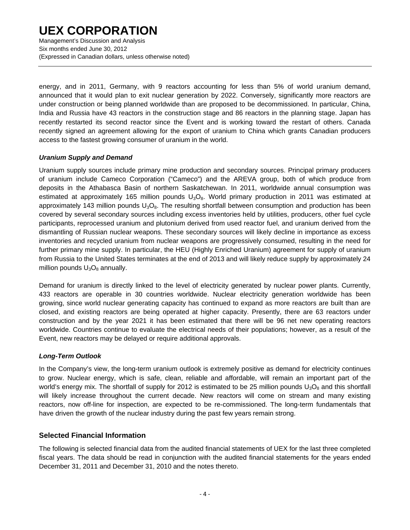Management's Discussion and Analysis Six months ended June 30, 2012 (Expressed in Canadian dollars, unless otherwise noted)

energy, and in 2011, Germany, with 9 reactors accounting for less than 5% of world uranium demand, announced that it would plan to exit nuclear generation by 2022. Conversely, significantly more reactors are under construction or being planned worldwide than are proposed to be decommissioned. In particular, China, India and Russia have 43 reactors in the construction stage and 86 reactors in the planning stage. Japan has recently restarted its second reactor since the Event and is working toward the restart of others. Canada recently signed an agreement allowing for the export of uranium to China which grants Canadian producers access to the fastest growing consumer of uranium in the world.

#### *Uranium Supply and Demand*

Uranium supply sources include primary mine production and secondary sources. Principal primary producers of uranium include Cameco Corporation ("Cameco") and the AREVA group, both of which produce from deposits in the Athabasca Basin of northern Saskatchewan. In 2011, worldwide annual consumption was estimated at approximately 165 million pounds  $U_3O_8$ . World primary production in 2011 was estimated at approximately 143 million pounds  $U_3O_8$ . The resulting shortfall between consumption and production has been covered by several secondary sources including excess inventories held by utilities, producers, other fuel cycle participants, reprocessed uranium and plutonium derived from used reactor fuel, and uranium derived from the dismantling of Russian nuclear weapons. These secondary sources will likely decline in importance as excess inventories and recycled uranium from nuclear weapons are progressively consumed, resulting in the need for further primary mine supply. In particular, the HEU (Highly Enriched Uranium) agreement for supply of uranium from Russia to the United States terminates at the end of 2013 and will likely reduce supply by approximately 24 million pounds  $U_3O_8$  annually.

Demand for uranium is directly linked to the level of electricity generated by nuclear power plants. Currently, 433 reactors are operable in 30 countries worldwide. Nuclear electricity generation worldwide has been growing, since world nuclear generating capacity has continued to expand as more reactors are built than are closed, and existing reactors are being operated at higher capacity. Presently, there are 63 reactors under construction and by the year 2021 it has been estimated that there will be 96 net new operating reactors worldwide. Countries continue to evaluate the electrical needs of their populations; however, as a result of the Event, new reactors may be delayed or require additional approvals.

#### *Long-Term Outlook*

In the Company's view, the long-term uranium outlook is extremely positive as demand for electricity continues to grow. Nuclear energy, which is safe, clean, reliable and affordable, will remain an important part of the world's energy mix. The shortfall of supply for 2012 is estimated to be 25 million pounds  $U_3O_8$  and this shortfall will likely increase throughout the current decade. New reactors will come on stream and many existing reactors, now off-line for inspection, are expected to be re-commissioned. The long-term fundamentals that have driven the growth of the nuclear industry during the past few years remain strong.

### **Selected Financial Information**

The following is selected financial data from the audited financial statements of UEX for the last three completed fiscal years. The data should be read in conjunction with the audited financial statements for the years ended December 31, 2011 and December 31, 2010 and the notes thereto.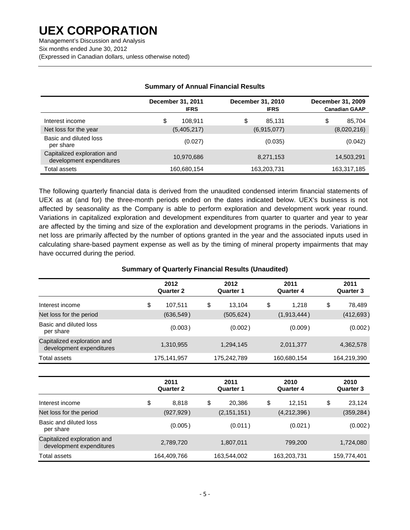Management's Discussion and Analysis Six months ended June 30, 2012 (Expressed in Canadian dollars, unless otherwise noted)

|                                                         | December 31, 2011<br><b>IFRS</b> | December 31, 2010<br><b>IFRS</b> | December 31, 2009<br><b>Canadian GAAP</b> |
|---------------------------------------------------------|----------------------------------|----------------------------------|-------------------------------------------|
| Interest income                                         | \$<br>108.911                    | \$<br>85.131                     | \$<br>85,704                              |
| Net loss for the year                                   | (5,405,217)                      | (6,915,077)                      | (8,020,216)                               |
| Basic and diluted loss<br>per share                     | (0.027)                          | (0.035)                          | (0.042)                                   |
| Capitalized exploration and<br>development expenditures | 10,970,686                       | 8,271,153                        | 14,503,291                                |
| Total assets                                            | 160,680,154                      | 163,203,731                      | 163,317,185                               |

### **Summary of Annual Financial Results**

The following quarterly financial data is derived from the unaudited condensed interim financial statements of UEX as at (and for) the three-month periods ended on the dates indicated below. UEX's business is not affected by seasonality as the Company is able to perform exploration and development work year round. Variations in capitalized exploration and development expenditures from quarter to quarter and year to year are affected by the timing and size of the exploration and development programs in the periods. Variations in net loss are primarily affected by the number of options granted in the year and the associated inputs used in calculating share-based payment expense as well as by the timing of mineral property impairments that may have occurred during the period.

### **Summary of Quarterly Financial Results (Unaudited)**

|                                                         | 2012<br><b>Quarter 2</b> | 2012<br><b>Quarter 1</b> | 2011<br><b>Quarter 4</b> | 2011<br><b>Quarter 3</b> |
|---------------------------------------------------------|--------------------------|--------------------------|--------------------------|--------------------------|
| Interest income                                         | \$<br>107,511            | \$<br>13,104             | \$<br>1,218              | \$<br>78,489             |
| Net loss for the period                                 | (636, 549)               | (505, 624)               | (1,913,444)              | (412, 693)               |
| Basic and diluted loss<br>per share                     | (0.003)                  | (0.002)                  | (0.009)                  | (0.002)                  |
| Capitalized exploration and<br>development expenditures | 1,310,955                | 1,294,145                | 2,011,377                | 4,362,578                |
| Total assets                                            | 175, 141, 957            | 175,242,789              | 160,680,154              | 164,219,390              |
|                                                         |                          |                          |                          |                          |
|                                                         | 2011<br><b>Quarter 2</b> | 2011<br><b>Quarter 1</b> | 2010<br><b>Quarter 4</b> | 2010<br><b>Quarter 3</b> |
| Interest income                                         | \$<br>8,818              | \$<br>20,386             | \$<br>12,151             | \$<br>23,124             |
| Net loss for the period                                 | (927, 929)               | (2, 151, 151)            | (4,212,396)              | (359, 284)               |
| Basic and diluted loss<br>per share                     | (0.005)                  | (0.011)                  | (0.021)                  | (0.002)                  |
| Capitalized exploration and<br>development expenditures | 2,789,720                | 1,807,011                | 799,200                  | 1,724,080                |
| Total assets                                            | 164,409,766              | 163,544,002              | 163,203,731              | 159,774,401              |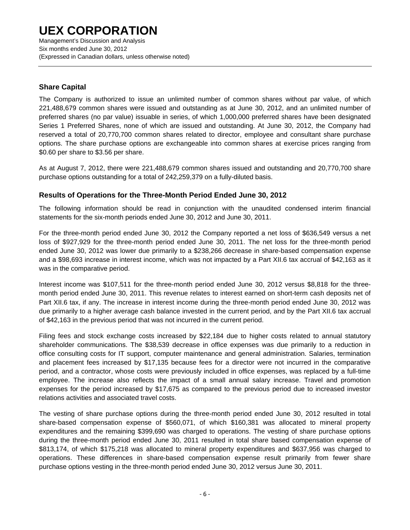Management's Discussion and Analysis Six months ended June 30, 2012 (Expressed in Canadian dollars, unless otherwise noted)

### **Share Capital**

The Company is authorized to issue an unlimited number of common shares without par value, of which 221,488,679 common shares were issued and outstanding as at June 30, 2012, and an unlimited number of preferred shares (no par value) issuable in series, of which 1,000,000 preferred shares have been designated Series 1 Preferred Shares, none of which are issued and outstanding. At June 30, 2012, the Company had reserved a total of 20,770,700 common shares related to director, employee and consultant share purchase options. The share purchase options are exchangeable into common shares at exercise prices ranging from \$0.60 per share to \$3.56 per share.

As at August 7, 2012, there were 221,488,679 common shares issued and outstanding and 20,770,700 share purchase options outstanding for a total of 242,259,379 on a fully-diluted basis.

### **Results of Operations for the Three-Month Period Ended June 30, 2012**

The following information should be read in conjunction with the unaudited condensed interim financial statements for the six-month periods ended June 30, 2012 and June 30, 2011.

For the three-month period ended June 30, 2012 the Company reported a net loss of \$636,549 versus a net loss of \$927,929 for the three-month period ended June 30, 2011. The net loss for the three-month period ended June 30, 2012 was lower due primarily to a \$238,266 decrease in share-based compensation expense and a \$98,693 increase in interest income, which was not impacted by a Part XII.6 tax accrual of \$42,163 as it was in the comparative period.

Interest income was \$107,511 for the three-month period ended June 30, 2012 versus \$8,818 for the threemonth period ended June 30, 2011. This revenue relates to interest earned on short-term cash deposits net of Part XII.6 tax, if any. The increase in interest income during the three-month period ended June 30, 2012 was due primarily to a higher average cash balance invested in the current period, and by the Part XII.6 tax accrual of \$42,163 in the previous period that was not incurred in the current period.

Filing fees and stock exchange costs increased by \$22,184 due to higher costs related to annual statutory shareholder communications. The \$38,539 decrease in office expenses was due primarily to a reduction in office consulting costs for IT support, computer maintenance and general administration. Salaries, termination and placement fees increased by \$17,135 because fees for a director were not incurred in the comparative period, and a contractor, whose costs were previously included in office expenses, was replaced by a full-time employee. The increase also reflects the impact of a small annual salary increase. Travel and promotion expenses for the period increased by \$17,675 as compared to the previous period due to increased investor relations activities and associated travel costs.

The vesting of share purchase options during the three-month period ended June 30, 2012 resulted in total share-based compensation expense of \$560,071, of which \$160,381 was allocated to mineral property expenditures and the remaining \$399,690 was charged to operations. The vesting of share purchase options during the three-month period ended June 30, 2011 resulted in total share based compensation expense of \$813,174, of which \$175,218 was allocated to mineral property expenditures and \$637,956 was charged to operations. These differences in share-based compensation expense result primarily from fewer share purchase options vesting in the three-month period ended June 30, 2012 versus June 30, 2011.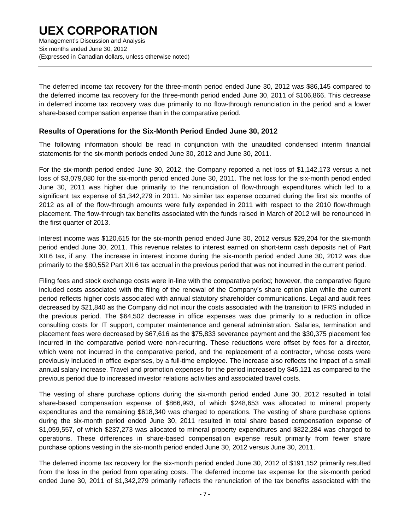Six months ended June 30, 2012 (Expressed in Canadian dollars, unless otherwise noted)

The deferred income tax recovery for the three-month period ended June 30, 2012 was \$86,145 compared to the deferred income tax recovery for the three-month period ended June 30, 2011 of \$106,866. This decrease in deferred income tax recovery was due primarily to no flow-through renunciation in the period and a lower share-based compensation expense than in the comparative period.

### **Results of Operations for the Six-Month Period Ended June 30, 2012**

The following information should be read in conjunction with the unaudited condensed interim financial statements for the six-month periods ended June 30, 2012 and June 30, 2011.

For the six-month period ended June 30, 2012, the Company reported a net loss of \$1,142,173 versus a net loss of \$3,079,080 for the six-month period ended June 30, 2011. The net loss for the six-month period ended June 30, 2011 was higher due primarily to the renunciation of flow-through expenditures which led to a significant tax expense of \$1,342,279 in 2011. No similar tax expense occurred during the first six months of 2012 as all of the flow-through amounts were fully expended in 2011 with respect to the 2010 flow-through placement. The flow-through tax benefits associated with the funds raised in March of 2012 will be renounced in the first quarter of 2013.

Interest income was \$120,615 for the six-month period ended June 30, 2012 versus \$29,204 for the six-month period ended June 30, 2011. This revenue relates to interest earned on short-term cash deposits net of Part XII.6 tax, if any. The increase in interest income during the six-month period ended June 30, 2012 was due primarily to the \$80,552 Part XII.6 tax accrual in the previous period that was not incurred in the current period.

Filing fees and stock exchange costs were in-line with the comparative period; however, the comparative figure included costs associated with the filing of the renewal of the Company's share option plan while the current period reflects higher costs associated with annual statutory shareholder communications. Legal and audit fees decreased by \$21,840 as the Company did not incur the costs associated with the transition to IFRS included in the previous period. The \$64,502 decrease in office expenses was due primarily to a reduction in office consulting costs for IT support, computer maintenance and general administration. Salaries, termination and placement fees were decreased by \$67,616 as the \$75,833 severance payment and the \$30,375 placement fee incurred in the comparative period were non-recurring. These reductions were offset by fees for a director, which were not incurred in the comparative period, and the replacement of a contractor, whose costs were previously included in office expenses, by a full-time employee. The increase also reflects the impact of a small annual salary increase. Travel and promotion expenses for the period increased by \$45,121 as compared to the previous period due to increased investor relations activities and associated travel costs.

The vesting of share purchase options during the six-month period ended June 30, 2012 resulted in total share-based compensation expense of \$866,993, of which \$248,653 was allocated to mineral property expenditures and the remaining \$618,340 was charged to operations. The vesting of share purchase options during the six-month period ended June 30, 2011 resulted in total share based compensation expense of \$1,059,557, of which \$237,273 was allocated to mineral property expenditures and \$822,284 was charged to operations. These differences in share-based compensation expense result primarily from fewer share purchase options vesting in the six-month period ended June 30, 2012 versus June 30, 2011.

The deferred income tax recovery for the six-month period ended June 30, 2012 of \$191,152 primarily resulted from the loss in the period from operating costs. The deferred income tax expense for the six-month period ended June 30, 2011 of \$1,342,279 primarily reflects the renunciation of the tax benefits associated with the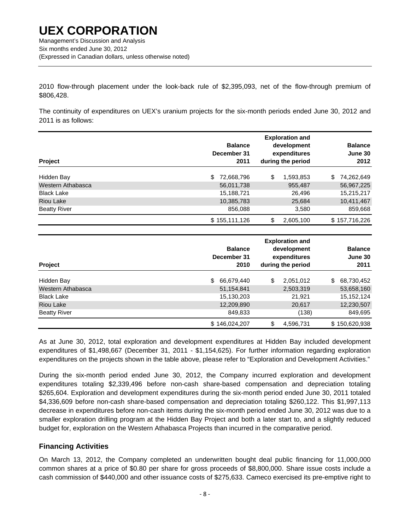Six months ended June 30, 2012 (Expressed in Canadian dollars, unless otherwise noted)

2010 flow-through placement under the look-back rule of \$2,395,093, net of the flow-through premium of \$806,428.

The continuity of expenditures on UEX's uranium projects for the six-month periods ended June 30, 2012 and 2011 is as follows:

| Project             | <b>Balance</b><br>December 31<br>2011 |    | <b>Exploration and</b><br>development<br>expenditures<br>during the period | <b>Balance</b><br>June 30<br>2012 |
|---------------------|---------------------------------------|----|----------------------------------------------------------------------------|-----------------------------------|
| Hidden Bay          | 72,668,796<br>\$.                     | \$ | 1,593,853                                                                  | 74,262,649<br>\$                  |
| Western Athabasca   | 56,011,738                            |    | 955,487                                                                    | 56,967,225                        |
| <b>Black Lake</b>   | 15,188,721                            |    | 26,496                                                                     | 15,215,217                        |
| Riou Lake           | 10,385,783                            |    | 25,684                                                                     | 10,411,467                        |
| <b>Beatty River</b> | 856,088                               |    | 3,580                                                                      | 859,668                           |
|                     | \$155,111,126                         | \$ | 2,605,100                                                                  | \$157,716,226                     |

| Project             | <b>Balance</b><br>December 31<br>2010 | <b>Exploration and</b><br>development<br>expenditures<br>during the period | <b>Balance</b><br>June 30<br>2011 |
|---------------------|---------------------------------------|----------------------------------------------------------------------------|-----------------------------------|
| Hidden Bay          | 66,679,440<br>\$.                     | \$<br>2,051,012                                                            | \$<br>68,730,452                  |
| Western Athabasca   | 51,154,841                            | 2,503,319                                                                  | 53,658,160                        |
| <b>Black Lake</b>   | 15,130,203                            | 21,921                                                                     | 15, 152, 124                      |
| <b>Riou Lake</b>    | 12,209,890                            | 20,617                                                                     | 12,230,507                        |
| <b>Beatty River</b> | 849,833                               | (138)                                                                      | 849,695                           |
|                     | \$146,024,207                         | \$<br>4,596,731                                                            | \$150,620,938                     |

As at June 30, 2012, total exploration and development expenditures at Hidden Bay included development expenditures of \$1,498,667 (December 31, 2011 - \$1,154,625). For further information regarding exploration expenditures on the projects shown in the table above, please refer to "Exploration and Development Activities."

During the six-month period ended June 30, 2012, the Company incurred exploration and development expenditures totaling \$2,339,496 before non-cash share-based compensation and depreciation totaling \$265,604. Exploration and development expenditures during the six-month period ended June 30, 2011 totaled \$4,336,609 before non-cash share-based compensation and depreciation totaling \$260,122. This \$1,997,113 decrease in expenditures before non-cash items during the six-month period ended June 30, 2012 was due to a smaller exploration drilling program at the Hidden Bay Project and both a later start to, and a slightly reduced budget for, exploration on the Western Athabasca Projects than incurred in the comparative period.

### **Financing Activities**

On March 13, 2012, the Company completed an underwritten bought deal public financing for 11,000,000 common shares at a price of \$0.80 per share for gross proceeds of \$8,800,000. Share issue costs include a cash commission of \$440,000 and other issuance costs of \$275,633. Cameco exercised its pre-emptive right to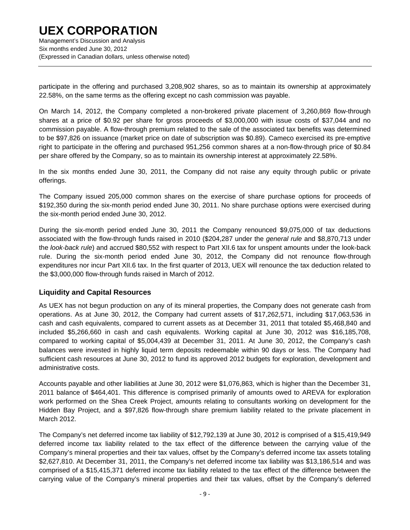Management's Discussion and Analysis Six months ended June 30, 2012 (Expressed in Canadian dollars, unless otherwise noted)

participate in the offering and purchased 3,208,902 shares, so as to maintain its ownership at approximately 22.58%, on the same terms as the offering except no cash commission was payable.

On March 14, 2012, the Company completed a non-brokered private placement of 3,260,869 flow-through shares at a price of \$0.92 per share for gross proceeds of \$3,000,000 with issue costs of \$37,044 and no commission payable. A flow-through premium related to the sale of the associated tax benefits was determined to be \$97,826 on issuance (market price on date of subscription was \$0.89). Cameco exercised its pre-emptive right to participate in the offering and purchased 951,256 common shares at a non-flow-through price of \$0.84 per share offered by the Company, so as to maintain its ownership interest at approximately 22.58%.

In the six months ended June 30, 2011, the Company did not raise any equity through public or private offerings.

The Company issued 205,000 common shares on the exercise of share purchase options for proceeds of \$192,350 during the six-month period ended June 30, 2011. No share purchase options were exercised during the six-month period ended June 30, 2012.

During the six-month period ended June 30, 2011 the Company renounced \$9,075,000 of tax deductions associated with the flow-through funds raised in 2010 (\$204,287 under the *general rule* and \$8,870,713 under the *look-back rule*) and accrued \$80,552 with respect to Part XII.6 tax for unspent amounts under the look-back rule. During the six-month period ended June 30, 2012, the Company did not renounce flow-through expenditures nor incur Part XII.6 tax. In the first quarter of 2013, UEX will renounce the tax deduction related to the \$3,000,000 flow-through funds raised in March of 2012.

### **Liquidity and Capital Resources**

As UEX has not begun production on any of its mineral properties, the Company does not generate cash from operations. As at June 30, 2012, the Company had current assets of \$17,262,571, including \$17,063,536 in cash and cash equivalents, compared to current assets as at December 31, 2011 that totaled \$5,468,840 and included \$5,266,660 in cash and cash equivalents. Working capital at June 30, 2012 was \$16,185,708, compared to working capital of \$5,004,439 at December 31, 2011. At June 30, 2012, the Company's cash balances were invested in highly liquid term deposits redeemable within 90 days or less. The Company had sufficient cash resources at June 30, 2012 to fund its approved 2012 budgets for exploration, development and administrative costs.

Accounts payable and other liabilities at June 30, 2012 were \$1,076,863, which is higher than the December 31, 2011 balance of \$464,401. This difference is comprised primarily of amounts owed to AREVA for exploration work performed on the Shea Creek Project, amounts relating to consultants working on development for the Hidden Bay Project, and a \$97,826 flow-through share premium liability related to the private placement in March 2012.

The Company's net deferred income tax liability of \$12,792,139 at June 30, 2012 is comprised of a \$15,419,949 deferred income tax liability related to the tax effect of the difference between the carrying value of the Company's mineral properties and their tax values, offset by the Company's deferred income tax assets totaling \$2,627,810. At December 31, 2011, the Company's net deferred income tax liability was \$13,186,514 and was comprised of a \$15,415,371 deferred income tax liability related to the tax effect of the difference between the carrying value of the Company's mineral properties and their tax values, offset by the Company's deferred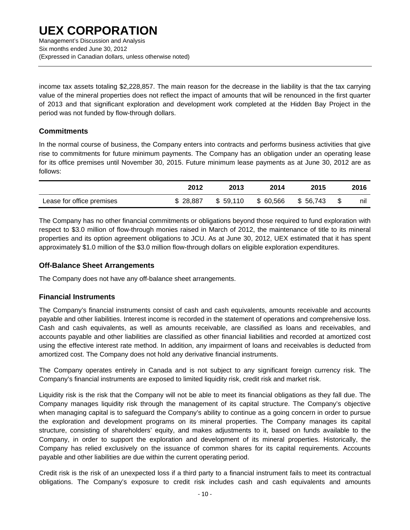(Expressed in Canadian dollars, unless otherwise noted)

income tax assets totaling \$2,228,857. The main reason for the decrease in the liability is that the tax carrying value of the mineral properties does not reflect the impact of amounts that will be renounced in the first quarter of 2013 and that significant exploration and development work completed at the Hidden Bay Project in the period was not funded by flow-through dollars.

### **Commitments**

In the normal course of business, the Company enters into contracts and performs business activities that give rise to commitments for future minimum payments. The Company has an obligation under an operating lease for its office premises until November 30, 2015. Future minimum lease payments as at June 30, 2012 are as follows:

|                           | 2012     | 2013     | 2014      | 2015     | 2016      |
|---------------------------|----------|----------|-----------|----------|-----------|
| Lease for office premises | \$28,887 | \$59.110 | \$ 60,566 | \$56,743 | \$<br>nıl |

The Company has no other financial commitments or obligations beyond those required to fund exploration with respect to \$3.0 million of flow-through monies raised in March of 2012, the maintenance of title to its mineral properties and its option agreement obligations to JCU. As at June 30, 2012, UEX estimated that it has spent approximately \$1.0 million of the \$3.0 million flow-through dollars on eligible exploration expenditures.

### **Off-Balance Sheet Arrangements**

The Company does not have any off-balance sheet arrangements.

#### **Financial Instruments**

The Company's financial instruments consist of cash and cash equivalents, amounts receivable and accounts payable and other liabilities. Interest income is recorded in the statement of operations and comprehensive loss. Cash and cash equivalents, as well as amounts receivable, are classified as loans and receivables, and accounts payable and other liabilities are classified as other financial liabilities and recorded at amortized cost using the effective interest rate method. In addition, any impairment of loans and receivables is deducted from amortized cost. The Company does not hold any derivative financial instruments.

The Company operates entirely in Canada and is not subject to any significant foreign currency risk. The Company's financial instruments are exposed to limited liquidity risk, credit risk and market risk.

Liquidity risk is the risk that the Company will not be able to meet its financial obligations as they fall due. The Company manages liquidity risk through the management of its capital structure. The Company's objective when managing capital is to safeguard the Company's ability to continue as a going concern in order to pursue the exploration and development programs on its mineral properties. The Company manages its capital structure, consisting of shareholders' equity, and makes adjustments to it, based on funds available to the Company, in order to support the exploration and development of its mineral properties. Historically, the Company has relied exclusively on the issuance of common shares for its capital requirements. Accounts payable and other liabilities are due within the current operating period.

Credit risk is the risk of an unexpected loss if a third party to a financial instrument fails to meet its contractual obligations. The Company's exposure to credit risk includes cash and cash equivalents and amounts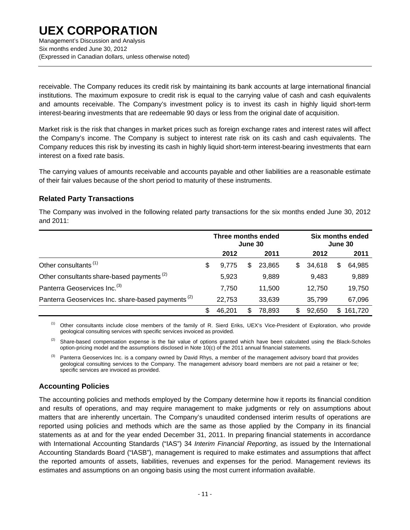Management's Discussion and Analysis Six months ended June 30, 2012 (Expressed in Canadian dollars, unless otherwise noted)

receivable. The Company reduces its credit risk by maintaining its bank accounts at large international financial institutions. The maximum exposure to credit risk is equal to the carrying value of cash and cash equivalents and amounts receivable. The Company's investment policy is to invest its cash in highly liquid short-term interest-bearing investments that are redeemable 90 days or less from the original date of acquisition.

Market risk is the risk that changes in market prices such as foreign exchange rates and interest rates will affect the Company's income. The Company is subject to interest rate risk on its cash and cash equivalents. The Company reduces this risk by investing its cash in highly liquid short-term interest-bearing investments that earn interest on a fixed rate basis.

The carrying values of amounts receivable and accounts payable and other liabilities are a reasonable estimate of their fair values because of the short period to maturity of these instruments.

### **Related Party Transactions**

The Company was involved in the following related party transactions for the six months ended June 30, 2012 and 2011:

|                                                               | Three months ended<br>June 30 |        |   |        | Six months ended<br>June 30 |        |    |         |
|---------------------------------------------------------------|-------------------------------|--------|---|--------|-----------------------------|--------|----|---------|
|                                                               |                               | 2012   |   | 2011   |                             | 2012   |    | 2011    |
| Other consultants <sup>(1)</sup>                              | \$                            | 9.775  | S | 23.865 | \$.                         | 34,618 | S  | 64,985  |
| Other consultants share-based payments <sup>(2)</sup>         |                               | 5,923  |   | 9,889  |                             | 9,483  |    | 9,889   |
| Panterra Geoservices Inc. <sup>(3)</sup>                      |                               | 7.750  |   | 11,500 |                             | 12,750 |    | 19,750  |
| Panterra Geoservices Inc. share-based payments <sup>(2)</sup> |                               | 22,753 |   | 33,639 |                             | 35,799 |    | 67,096  |
|                                                               | \$                            | 46,201 | S | 78,893 | \$                          | 92,650 | \$ | 161,720 |

<sup>(1)</sup> Other consultants include close members of the family of R. Sierd Eriks, UEX's Vice-President of Exploration, who provide geological consulting services with specific services invoiced as provided.

<sup>(2)</sup> Share-based compensation expense is the fair value of options granted which have been calculated using the Black-Scholes option-pricing model and the assumptions disclosed in Note 10(c) of the 2011 annual financial statements.

<sup>(3)</sup> Panterra Geoservices Inc. is a company owned by David Rhys, a member of the management advisory board that provides geological consulting services to the Company. The management advisory board members are not paid a retainer or fee; specific services are invoiced as provided.

### **Accounting Policies**

The accounting policies and methods employed by the Company determine how it reports its financial condition and results of operations, and may require management to make judgments or rely on assumptions about matters that are inherently uncertain. The Company's unaudited condensed interim results of operations are reported using policies and methods which are the same as those applied by the Company in its financial statements as at and for the year ended December 31, 2011. In preparing financial statements in accordance with International Accounting Standards ("IAS") 34 *Interim Financial Reporting*, as issued by the International Accounting Standards Board ("IASB"), management is required to make estimates and assumptions that affect the reported amounts of assets, liabilities, revenues and expenses for the period. Management reviews its estimates and assumptions on an ongoing basis using the most current information available.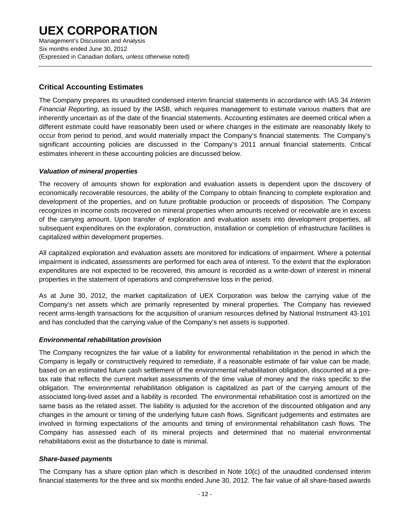Management's Discussion and Analysis Six months ended June 30, 2012 (Expressed in Canadian dollars, unless otherwise noted)

### **Critical Accounting Estimates**

The Company prepares its unaudited condensed interim financial statements in accordance with IAS 34 *Interim Financial Reporting*, as issued by the IASB, which requires management to estimate various matters that are inherently uncertain as of the date of the financial statements. Accounting estimates are deemed critical when a different estimate could have reasonably been used or where changes in the estimate are reasonably likely to occur from period to period, and would materially impact the Company's financial statements. The Company's significant accounting policies are discussed in the Company's 2011 annual financial statements. Critical estimates inherent in these accounting policies are discussed below.

### *Valuation of mineral properties*

The recovery of amounts shown for exploration and evaluation assets is dependent upon the discovery of economically recoverable resources, the ability of the Company to obtain financing to complete exploration and development of the properties, and on future profitable production or proceeds of disposition. The Company recognizes in income costs recovered on mineral properties when amounts received or receivable are in excess of the carrying amount. Upon transfer of exploration and evaluation assets into development properties, all subsequent expenditures on the exploration, construction, installation or completion of infrastructure facilities is capitalized within development properties.

All capitalized exploration and evaluation assets are monitored for indications of impairment. Where a potential impairment is indicated, assessments are performed for each area of interest. To the extent that the exploration expenditures are not expected to be recovered, this amount is recorded as a write-down of interest in mineral properties in the statement of operations and comprehensive loss in the period.

As at June 30, 2012, the market capitalization of UEX Corporation was below the carrying value of the Company's net assets which are primarily represented by mineral properties. The Company has reviewed recent arms-length transactions for the acquisition of uranium resources defined by National Instrument 43-101 and has concluded that the carrying value of the Company's net assets is supported.

#### *Environmental rehabilitation provision*

The Company recognizes the fair value of a liability for environmental rehabilitation in the period in which the Company is legally or constructively required to remediate, if a reasonable estimate of fair value can be made, based on an estimated future cash settlement of the environmental rehabilitation obligation, discounted at a pretax rate that reflects the current market assessments of the time value of money and the risks specific to the obligation. The environmental rehabilitation obligation is capitalized as part of the carrying amount of the associated long-lived asset and a liability is recorded. The environmental rehabilitation cost is amortized on the same basis as the related asset. The liability is adjusted for the accretion of the discounted obligation and any changes in the amount or timing of the underlying future cash flows. Significant judgements and estimates are involved in forming expectations of the amounts and timing of environmental rehabilitation cash flows. The Company has assessed each of its mineral projects and determined that no material environmental rehabilitations exist as the disturbance to date is minimal.

#### *Share-based payments*

The Company has a share option plan which is described in Note 10(c) of the unaudited condensed interim financial statements for the three and six months ended June 30, 2012. The fair value of all share-based awards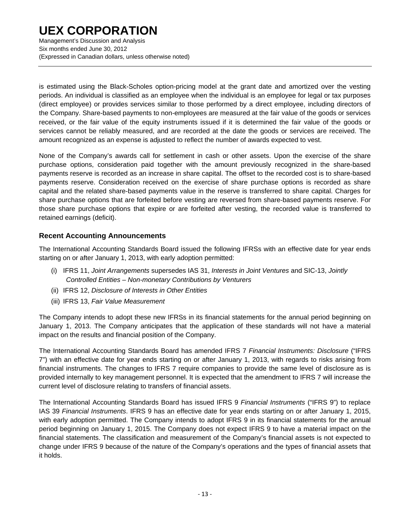Management's Discussion and Analysis Six months ended June 30, 2012 (Expressed in Canadian dollars, unless otherwise noted)

is estimated using the Black-Scholes option-pricing model at the grant date and amortized over the vesting periods. An individual is classified as an employee when the individual is an employee for legal or tax purposes (direct employee) or provides services similar to those performed by a direct employee, including directors of the Company. Share-based payments to non-employees are measured at the fair value of the goods or services received, or the fair value of the equity instruments issued if it is determined the fair value of the goods or services cannot be reliably measured, and are recorded at the date the goods or services are received. The amount recognized as an expense is adjusted to reflect the number of awards expected to vest.

None of the Company's awards call for settlement in cash or other assets. Upon the exercise of the share purchase options, consideration paid together with the amount previously recognized in the share-based payments reserve is recorded as an increase in share capital. The offset to the recorded cost is to share-based payments reserve. Consideration received on the exercise of share purchase options is recorded as share capital and the related share-based payments value in the reserve is transferred to share capital. Charges for share purchase options that are forfeited before vesting are reversed from share-based payments reserve. For those share purchase options that expire or are forfeited after vesting, the recorded value is transferred to retained earnings (deficit).

### **Recent Accounting Announcements**

The International Accounting Standards Board issued the following IFRSs with an effective date for year ends starting on or after January 1, 2013, with early adoption permitted:

- (i) IFRS 11, *Joint Arrangements* supersedes IAS 31, *Interests in Joint Ventures* and SIC-13, *Jointly Controlled Entities – Non-monetary Contributions by Venturers*
- (ii) IFRS 12, *Disclosure of Interests in Other Entities*
- (iii) IFRS 13, *Fair Value Measurement*

The Company intends to adopt these new IFRSs in its financial statements for the annual period beginning on January 1, 2013. The Company anticipates that the application of these standards will not have a material impact on the results and financial position of the Company.

The International Accounting Standards Board has amended IFRS 7 *Financial Instruments: Disclosure* ("IFRS 7") with an effective date for year ends starting on or after January 1, 2013, with regards to risks arising from financial instruments. The changes to IFRS 7 require companies to provide the same level of disclosure as is provided internally to key management personnel. It is expected that the amendment to IFRS 7 will increase the current level of disclosure relating to transfers of financial assets.

The International Accounting Standards Board has issued IFRS 9 *Financial Instruments* ("IFRS 9") to replace IAS 39 *Financial Instruments*. IFRS 9 has an effective date for year ends starting on or after January 1, 2015, with early adoption permitted. The Company intends to adopt IFRS 9 in its financial statements for the annual period beginning on January 1, 2015. The Company does not expect IFRS 9 to have a material impact on the financial statements. The classification and measurement of the Company's financial assets is not expected to change under IFRS 9 because of the nature of the Company's operations and the types of financial assets that it holds.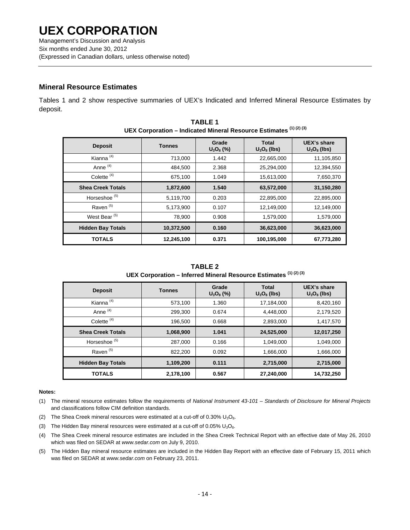(Expressed in Canadian dollars, unless otherwise noted)

### **Mineral Resource Estimates**

Tables 1 and 2 show respective summaries of UEX's Indicated and Inferred Mineral Resource Estimates by deposit.

| UEA COI por ation – indicated mineral Resource Estimates |               |                       |             |                               |  |
|----------------------------------------------------------|---------------|-----------------------|-------------|-------------------------------|--|
| <b>Deposit</b>                                           | <b>Tonnes</b> | Grade<br>$U_3O_8$ (%) |             | UEX's share<br>$U_3O_8$ (lbs) |  |
| Kianna <sup>(4)</sup>                                    | 713,000       | 1.442                 | 22,665,000  | 11,105,850                    |  |
| Anne <sup>(4)</sup>                                      | 484,500       | 2.368                 | 25,294,000  | 12,394,550                    |  |
| Colette <sup>(4)</sup>                                   | 675,100       | 1.049                 | 15,613,000  | 7,650,370                     |  |
| <b>Shea Creek Totals</b>                                 | 1,872,600     | 1.540                 | 63,572,000  | 31,150,280                    |  |
| Horseshoe <sup>(5)</sup>                                 | 5,119,700     | 0.203                 | 22,895,000  | 22,895,000                    |  |
| Raven <sup>(5)</sup>                                     | 5,173,900     | 0.107                 | 12,149,000  | 12,149,000                    |  |
| West Bear <sup>(5)</sup>                                 | 78,900        | 0.908                 | 1,579,000   | 1,579,000                     |  |
| <b>Hidden Bay Totals</b>                                 | 10,372,500    | 0.160                 | 36,623,000  | 36,623,000                    |  |
| <b>TOTALS</b>                                            | 12,245,100    | 0.371                 | 100,195,000 | 67,773,280                    |  |

**TABLE 1 UEX Corporation – Indicated Mineral Resource Estimates (1) (2) (3)**

**TABLE 2 UEX Corporation – Inferred Mineral Resource Estimates (1) (2) (3)**

| <b>Deposit</b>           | <b>Tonnes</b> | Grade<br>$U_3O_8$ (%) | Total<br>$U_3O_8$ (lbs) | UEX's share<br>$U_3O_8$ (lbs) |
|--------------------------|---------------|-----------------------|-------------------------|-------------------------------|
| Kianna <sup>(4)</sup>    | 573,100       | 1.360                 | 17,184,000              | 8,420,160                     |
| Anne <sup>(4)</sup>      | 299.300       | 0.674                 | 4,448,000               | 2,179,520                     |
| Colette <sup>(4)</sup>   | 196,500       | 0.668                 | 2,893,000               | 1,417,570                     |
| <b>Shea Creek Totals</b> | 1,068,900     | 1.041                 | 24,525,000              | 12,017,250                    |
| Horseshoe <sup>(5)</sup> | 287,000       | 0.166                 | 1,049,000               | 1,049,000                     |
| Raven <sup>(5)</sup>     | 822,200       | 0.092                 | 1,666,000               | 1,666,000                     |
| <b>Hidden Bay Totals</b> | 1,109,200     | 0.111                 | 2,715,000               | 2,715,000                     |
| <b>TOTALS</b>            | 2,178,100     | 0.567                 | 27,240,000              | 14,732,250                    |

#### **Notes:**

- (1) The mineral resource estimates follow the requirements of *National Instrument 43-101 Standards of Disclosure for Mineral Projects* and classifications follow CIM definition standards.
- (2) The Shea Creek mineral resources were estimated at a cut-off of  $0.30\%$  U<sub>3</sub>O<sub>8</sub>.
- (3) The Hidden Bay mineral resources were estimated at a cut-off of  $0.05\%$  U<sub>3</sub>O<sub>8</sub>.
- (4) The Shea Creek mineral resource estimates are included in the Shea Creek Technical Report with an effective date of May 26, 2010 which was filed on SEDAR at *www.sedar.com* on July 9, 2010.
- (5) The Hidden Bay mineral resource estimates are included in the Hidden Bay Report with an effective date of February 15, 2011 which was filed on SEDAR at *www.sedar.com* on February 23, 2011.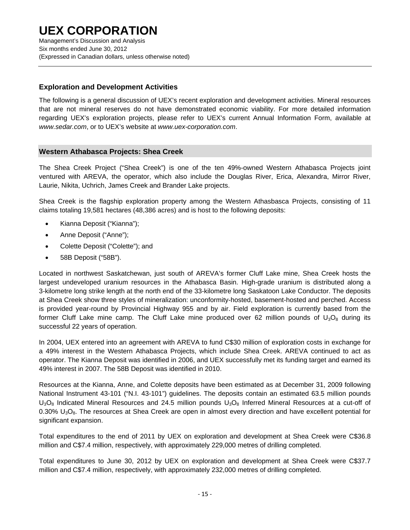Management's Discussion and Analysis Six months ended June 30, 2012 (Expressed in Canadian dollars, unless otherwise noted)

### **Exploration and Development Activities**

The following is a general discussion of UEX's recent exploration and development activities. Mineral resources that are not mineral reserves do not have demonstrated economic viability. For more detailed information regarding UEX's exploration projects, please refer to UEX's current Annual Information Form, available at *www.sedar.com*, or to UEX's website at *www.uex-corporation.com*.

### **Western Athabasca Projects: Shea Creek**

The Shea Creek Project ("Shea Creek") is one of the ten 49%-owned Western Athabasca Projects joint ventured with AREVA, the operator, which also include the Douglas River, Erica, Alexandra, Mirror River, Laurie, Nikita, Uchrich, James Creek and Brander Lake projects.

Shea Creek is the flagship exploration property among the Western Athasbasca Projects, consisting of 11 claims totaling 19,581 hectares (48,386 acres) and is host to the following deposits:

- Kianna Deposit ("Kianna");
- Anne Deposit ("Anne");
- Colette Deposit ("Colette"); and
- 58B Deposit ("58B").

Located in northwest Saskatchewan, just south of AREVA's former Cluff Lake mine, Shea Creek hosts the largest undeveloped uranium resources in the Athabasca Basin. High-grade uranium is distributed along a 3-kilometre long strike length at the north end of the 33-kilometre long Saskatoon Lake Conductor. The deposits at Shea Creek show three styles of mineralization: unconformity-hosted, basement-hosted and perched. Access is provided year-round by Provincial Highway 955 and by air. Field exploration is currently based from the former Cluff Lake mine camp. The Cluff Lake mine produced over 62 million pounds of  $U_3O_8$  during its successful 22 years of operation.

In 2004, UEX entered into an agreement with AREVA to fund C\$30 million of exploration costs in exchange for a 49% interest in the Western Athabasca Projects, which include Shea Creek. AREVA continued to act as operator. The Kianna Deposit was identified in 2006, and UEX successfully met its funding target and earned its 49% interest in 2007. The 58B Deposit was identified in 2010.

Resources at the Kianna, Anne, and Colette deposits have been estimated as at December 31, 2009 following National Instrument 43-101 ("N.I. 43-101") guidelines. The deposits contain an estimated 63.5 million pounds  $U_3O_8$  Indicated Mineral Resources and 24.5 million pounds  $U_3O_8$  Inferred Mineral Resources at a cut-off of 0.30% U<sub>3</sub>O<sub>8</sub>. The resources at Shea Creek are open in almost every direction and have excellent potential for significant expansion.

Total expenditures to the end of 2011 by UEX on exploration and development at Shea Creek were C\$36.8 million and C\$7.4 million, respectively, with approximately 229,000 metres of drilling completed.

Total expenditures to June 30, 2012 by UEX on exploration and development at Shea Creek were C\$37.7 million and C\$7.4 million, respectively, with approximately 232,000 metres of drilling completed.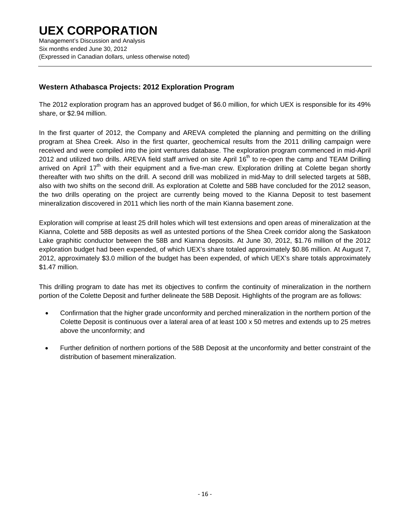### **Western Athabasca Projects: 2012 Exploration Program**

The 2012 exploration program has an approved budget of \$6.0 million, for which UEX is responsible for its 49% share, or \$2.94 million.

In the first quarter of 2012, the Company and AREVA completed the planning and permitting on the drilling program at Shea Creek. Also in the first quarter, geochemical results from the 2011 drilling campaign were received and were compiled into the joint ventures database. The exploration program commenced in mid-April 2012 and utilized two drills. AREVA field staff arrived on site April 16<sup>th</sup> to re-open the camp and TEAM Drilling arrived on April 17<sup>th</sup> with their equipment and a five-man crew. Exploration drilling at Colette began shortly thereafter with two shifts on the drill. A second drill was mobilized in mid-May to drill selected targets at 58B, also with two shifts on the second drill. As exploration at Colette and 58B have concluded for the 2012 season, the two drills operating on the project are currently being moved to the Kianna Deposit to test basement mineralization discovered in 2011 which lies north of the main Kianna basement zone.

Exploration will comprise at least 25 drill holes which will test extensions and open areas of mineralization at the Kianna, Colette and 58B deposits as well as untested portions of the Shea Creek corridor along the Saskatoon Lake graphitic conductor between the 58B and Kianna deposits. At June 30, 2012, \$1.76 million of the 2012 exploration budget had been expended, of which UEX's share totaled approximately \$0.86 million. At August 7, 2012, approximately \$3.0 million of the budget has been expended, of which UEX's share totals approximately \$1.47 million.

This drilling program to date has met its objectives to confirm the continuity of mineralization in the northern portion of the Colette Deposit and further delineate the 58B Deposit. Highlights of the program are as follows:

- Confirmation that the higher grade unconformity and perched mineralization in the northern portion of the Colette Deposit is continuous over a lateral area of at least 100 x 50 metres and extends up to 25 metres above the unconformity; and
- Further definition of northern portions of the 58B Deposit at the unconformity and better constraint of the distribution of basement mineralization.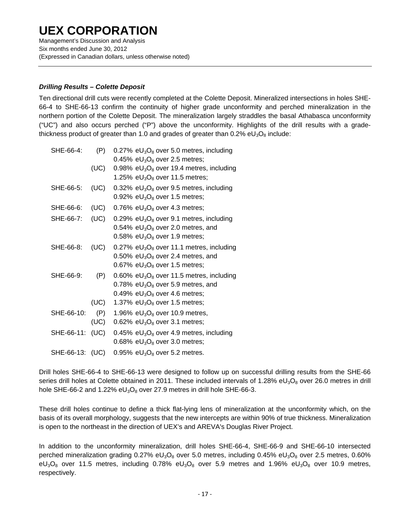Management's Discussion and Analysis Six months ended June 30, 2012 (Expressed in Canadian dollars, unless otherwise noted)

### *Drilling Results – Colette Deposit*

Ten directional drill cuts were recently completed at the Colette Deposit. Mineralized intersections in holes SHE-66-4 to SHE-66-13 confirm the continuity of higher grade unconformity and perched mineralization in the northern portion of the Colette Deposit. The mineralization largely straddles the basal Athabasca unconformity ("UC") and also occurs perched ("P") above the unconformity. Highlights of the drill results with a gradethickness product of greater than 1.0 and grades of greater than  $0.2\%$  eU<sub>3</sub>O<sub>8</sub> include:

| SHE-66-4:       | (P)  | 0.27% $eU_3O_8$ over 5.0 metres, including  |
|-----------------|------|---------------------------------------------|
|                 |      | 0.45% $eU_3O_8$ over 2.5 metres;            |
|                 | (UC) | 0.98% $eU_3O_8$ over 19.4 metres, including |
|                 |      | 1.25% $eU_3O_8$ over 11.5 metres;           |
| SHE-66-5:       | (UC) | 0.32% $eU_3O_8$ over 9.5 metres, including  |
|                 |      | 0.92% $eU_3O_8$ over 1.5 metres;            |
| SHE-66-6:       | (UC) | 0.76% $eU_3O_8$ over 4.3 metres;            |
| SHE-66-7:       | (UC) | 0.29% $eU_3O_8$ over 9.1 metres, including  |
|                 |      | 0.54% $eU_3O_8$ over 2.0 metres, and        |
|                 |      | 0.58% $eU_3O_8$ over 1.9 metres;            |
| SHE-66-8:       | (UC) | 0.27% $eU_3O_8$ over 11.1 metres, including |
|                 |      | 0.50% $eU_3O_8$ over 2.4 metres, and        |
|                 |      | 0.67% $eU_3O_8$ over 1.5 metres;            |
| SHE-66-9:       | (P)  | 0.60% $eU_3O_8$ over 11.5 metres, including |
|                 |      | 0.78% $eU_3O_8$ over 5.9 metres, and        |
|                 |      | 0.49% $eU_3O_8$ over 4.6 metres;            |
|                 | (UC) | 1.37% $eU_3O_8$ over 1.5 metres;            |
| SHE-66-10:      | (P)  | 1.96% $eU_3O_8$ over 10.9 metres,           |
|                 | (UC) | 0.62% $eU_3O_8$ over 3.1 metres;            |
| SHE-66-11:      | (UC) | 0.45% $eU_3O_8$ over 4.9 metres, including  |
|                 |      | 0.68% $eU_3O_8$ over 3.0 metres;            |
| SHE-66-13: (UC) |      | 0.95% $eU_3O_8$ over 5.2 metres.            |

Drill holes SHE-66-4 to SHE-66-13 were designed to follow up on successful drilling results from the SHE-66 series drill holes at Colette obtained in 2011. These included intervals of 1.28% eU<sub>3</sub>O<sub>8</sub> over 26.0 metres in drill hole SHE-66-2 and 1.22%  $eU_3O_8$  over 27.9 metres in drill hole SHE-66-3.

These drill holes continue to define a thick flat-lying lens of mineralization at the unconformity which, on the basis of its overall morphology, suggests that the new intercepts are within 90% of true thickness. Mineralization is open to the northeast in the direction of UEX's and AREVA's Douglas River Project.

In addition to the unconformity mineralization, drill holes SHE-66-4, SHE-66-9 and SHE-66-10 intersected perched mineralization grading 0.27% eU<sub>3</sub>O<sub>8</sub> over 5.0 metres, including 0.45% eU<sub>3</sub>O<sub>8</sub> over 2.5 metres, 0.60%  $eU_3O_8$  over 11.5 metres, including 0.78% eU<sub>3</sub>O<sub>8</sub> over 5.9 metres and 1.96% eU<sub>3</sub>O<sub>8</sub> over 10.9 metres, respectively.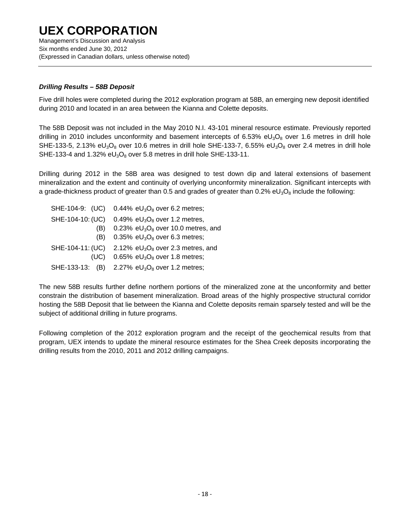Management's Discussion and Analysis Six months ended June 30, 2012 (Expressed in Canadian dollars, unless otherwise noted)

### *Drilling Results – 58B Deposit*

Five drill holes were completed during the 2012 exploration program at 58B, an emerging new deposit identified during 2010 and located in an area between the Kianna and Colette deposits.

The 58B Deposit was not included in the May 2010 N.I. 43-101 mineral resource estimate. Previously reported drilling in 2010 includes unconformity and basement intercepts of 6.53% eU<sub>3</sub>O<sub>8</sub> over 1.6 metres in drill hole SHE-133-5, 2.13% eU<sub>3</sub>O<sub>8</sub> over 10.6 metres in drill hole SHE-133-7, 6.55% eU<sub>3</sub>O<sub>8</sub> over 2.4 metres in drill hole SHE-133-4 and 1.32%  $eU_3O_8$  over 5.8 metres in drill hole SHE-133-11.

Drilling during 2012 in the 58B area was designed to test down dip and lateral extensions of basement mineralization and the extent and continuity of overlying unconformity mineralization. Significant intercepts with a grade-thickness product of greater than 0.5 and grades of greater than  $0.2\%$  eU<sub>3</sub>O<sub>8</sub> include the following:

| SHE-104-9: (UC)  | 0.44% $eU_3O_8$ over 6.2 metres;                      |
|------------------|-------------------------------------------------------|
| SHE-104-10: (UC) | 0.49% $eU_3O_8$ over 1.2 metres,                      |
| (B)              | 0.23% $eU_3O_8$ over 10.0 metres, and                 |
| (B)              | 0.35% $eU_3O_8$ over 6.3 metres;                      |
|                  | SHE-104-11: (UC) 2.12% $eU_3O_8$ over 2.3 metres, and |
| (UC)             | 0.65% $eU_3O_8$ over 1.8 metres;                      |
|                  | SHE-133-13: (B) 2.27% $eU_3O_8$ over 1.2 metres;      |

The new 58B results further define northern portions of the mineralized zone at the unconformity and better constrain the distribution of basement mineralization. Broad areas of the highly prospective structural corridor hosting the 58B Deposit that lie between the Kianna and Colette deposits remain sparsely tested and will be the subject of additional drilling in future programs.

Following completion of the 2012 exploration program and the receipt of the geochemical results from that program, UEX intends to update the mineral resource estimates for the Shea Creek deposits incorporating the drilling results from the 2010, 2011 and 2012 drilling campaigns.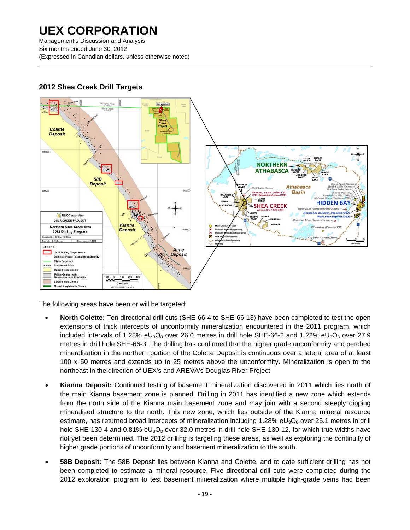Management's Discussion and Analysis Six months ended June 30, 2012 (Expressed in Canadian dollars, unless otherwise noted)



### **2012 Shea Creek Drill Targets**

The following areas have been or will be targeted:

- **North Colette:** Ten directional drill cuts (SHE-66-4 to SHE-66-13) have been completed to test the open extensions of thick intercepts of unconformity mineralization encountered in the 2011 program, which included intervals of 1.28% eU<sub>3</sub>O<sub>8</sub> over 26.0 metres in drill hole SHE-66-2 and 1.22% eU<sub>3</sub>O<sub>8</sub> over 27.9 metres in drill hole SHE-66-3. The drilling has confirmed that the higher grade unconformity and perched mineralization in the northern portion of the Colette Deposit is continuous over a lateral area of at least 100 x 50 metres and extends up to 25 metres above the unconformity. Mineralization is open to the northeast in the direction of UEX's and AREVA's Douglas River Project.
- **Kianna Deposit:** Continued testing of basement mineralization discovered in 2011 which lies north of the main Kianna basement zone is planned. Drilling in 2011 has identified a new zone which extends from the north side of the Kianna main basement zone and may join with a second steeply dipping mineralized structure to the north. This new zone, which lies outside of the Kianna mineral resource estimate, has returned broad intercepts of mineralization including 1.28% eU<sub>3</sub>O<sub>8</sub> over 25.1 metres in drill hole SHE-130-4 and 0.81%  $eU_3O_8$  over 32.0 metres in drill hole SHE-130-12, for which true widths have not yet been determined. The 2012 drilling is targeting these areas, as well as exploring the continuity of higher grade portions of unconformity and basement mineralization to the south.
- **58B Deposit:** The 58B Deposit lies between Kianna and Colette, and to date sufficient drilling has not been completed to estimate a mineral resource. Five directional drill cuts were completed during the 2012 exploration program to test basement mineralization where multiple high-grade veins had been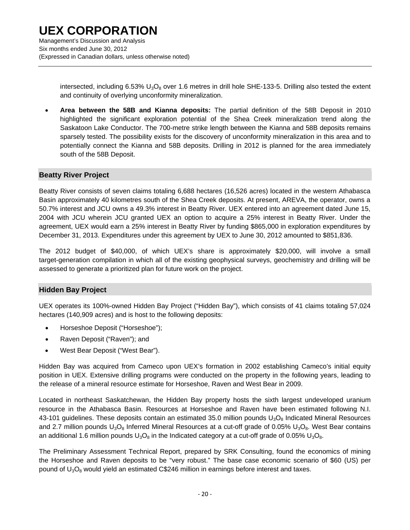intersected, including 6.53%  $U_3O_8$  over 1.6 metres in drill hole SHE-133-5. Drilling also tested the extent and continuity of overlying unconformity mineralization.

• **Area between the 58B and Kianna deposits:** The partial definition of the 58B Deposit in 2010 highlighted the significant exploration potential of the Shea Creek mineralization trend along the Saskatoon Lake Conductor. The 700-metre strike length between the Kianna and 58B deposits remains sparsely tested. The possibility exists for the discovery of unconformity mineralization in this area and to potentially connect the Kianna and 58B deposits. Drilling in 2012 is planned for the area immediately south of the 58B Deposit.

#### **Beatty River Project**

Beatty River consists of seven claims totaling 6,688 hectares (16,526 acres) located in the western Athabasca Basin approximately 40 kilometres south of the Shea Creek deposits. At present, AREVA, the operator, owns a 50.7% interest and JCU owns a 49.3% interest in Beatty River. UEX entered into an agreement dated June 15, 2004 with JCU wherein JCU granted UEX an option to acquire a 25% interest in Beatty River. Under the agreement, UEX would earn a 25% interest in Beatty River by funding \$865,000 in exploration expenditures by December 31, 2013. Expenditures under this agreement by UEX to June 30, 2012 amounted to \$851,836.

The 2012 budget of \$40,000, of which UEX's share is approximately \$20,000, will involve a small target-generation compilation in which all of the existing geophysical surveys, geochemistry and drilling will be assessed to generate a prioritized plan for future work on the project.

#### **Hidden Bay Project**

UEX operates its 100%-owned Hidden Bay Project ("Hidden Bay"), which consists of 41 claims totaling 57,024 hectares (140,909 acres) and is host to the following deposits:

- Horseshoe Deposit ("Horseshoe");
- Raven Deposit ("Raven"); and
- West Bear Deposit ("West Bear").

Hidden Bay was acquired from Cameco upon UEX's formation in 2002 establishing Cameco's initial equity position in UEX. Extensive drilling programs were conducted on the property in the following years, leading to the release of a mineral resource estimate for Horseshoe, Raven and West Bear in 2009.

Located in northeast Saskatchewan, the Hidden Bay property hosts the sixth largest undeveloped uranium resource in the Athabasca Basin. Resources at Horseshoe and Raven have been estimated following N.I. 43-101 guidelines. These deposits contain an estimated 35.0 million pounds  $U_3O_8$  Indicated Mineral Resources and 2.7 million pounds  $U_3O_8$  Inferred Mineral Resources at a cut-off grade of 0.05%  $U_3O_8$ . West Bear contains an additional 1.6 million pounds  $U_3O_8$  in the Indicated category at a cut-off grade of 0.05%  $U_3O_8$ .

The Preliminary Assessment Technical Report, prepared by SRK Consulting, found the economics of mining the Horseshoe and Raven deposits to be "very robust." The base case economic scenario of \$60 (US) per pound of  $U_3O_8$  would yield an estimated C\$246 million in earnings before interest and taxes.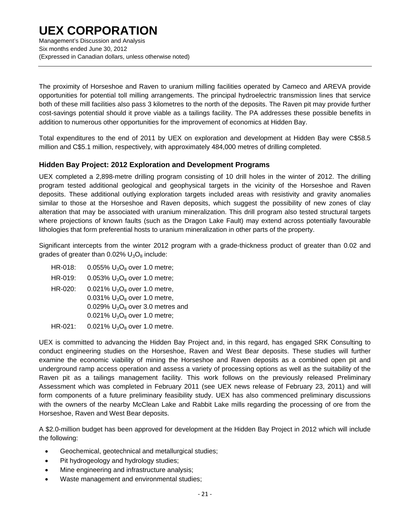Management's Discussion and Analysis Six months ended June 30, 2012 (Expressed in Canadian dollars, unless otherwise noted)

The proximity of Horseshoe and Raven to uranium milling facilities operated by Cameco and AREVA provide opportunities for potential toll milling arrangements. The principal hydroelectric transmission lines that service both of these mill facilities also pass 3 kilometres to the north of the deposits. The Raven pit may provide further cost-savings potential should it prove viable as a tailings facility. The PA addresses these possible benefits in addition to numerous other opportunities for the improvement of economics at Hidden Bay.

Total expenditures to the end of 2011 by UEX on exploration and development at Hidden Bay were C\$58.5 million and C\$5.1 million, respectively, with approximately 484,000 metres of drilling completed.

### **Hidden Bay Project: 2012 Exploration and Development Programs**

UEX completed a 2,898-metre drilling program consisting of 10 drill holes in the winter of 2012. The drilling program tested additional geological and geophysical targets in the vicinity of the Horseshoe and Raven deposits. These additional outlying exploration targets included areas with resistivity and gravity anomalies similar to those at the Horseshoe and Raven deposits, which suggest the possibility of new zones of clay alteration that may be associated with uranium mineralization. This drill program also tested structural targets where projections of known faults (such as the Dragon Lake Fault) may extend across potentially favourable lithologies that form preferential hosts to uranium mineralization in other parts of the property.

Significant intercepts from the winter 2012 program with a grade-thickness product of greater than 0.02 and grades of greater than  $0.02\%$  U<sub>3</sub>O<sub>8</sub> include:

HR-018:  $0.055\%$  U<sub>3</sub>O<sub>8</sub> over 1.0 metre; HR-019: 0.053%  $U_3O_8$  over 1.0 metre; HR-020: 0.021%  $U_3O_8$  over 1.0 metre, 0.031%  $U_3O_8$  over 1.0 metre, 0.029%  $U_3O_8$  over 3.0 metres and 0.021%  $U_3O_8$  over 1.0 metre; HR-021:  $0.021\% \text{ U}_3\text{O}_8$  over 1.0 metre.

UEX is committed to advancing the Hidden Bay Project and, in this regard, has engaged SRK Consulting to conduct engineering studies on the Horseshoe, Raven and West Bear deposits. These studies will further examine the economic viability of mining the Horseshoe and Raven deposits as a combined open pit and underground ramp access operation and assess a variety of processing options as well as the suitability of the Raven pit as a tailings management facility. This work follows on the previously released Preliminary Assessment which was completed in February 2011 (see UEX news release of February 23, 2011) and will form components of a future preliminary feasibility study. UEX has also commenced preliminary discussions with the owners of the nearby McClean Lake and Rabbit Lake mills regarding the processing of ore from the Horseshoe, Raven and West Bear deposits.

A \$2.0-million budget has been approved for development at the Hidden Bay Project in 2012 which will include the following:

- Geochemical, geotechnical and metallurgical studies;
- Pit hydrogeology and hydrology studies;
- Mine engineering and infrastructure analysis;
- Waste management and environmental studies;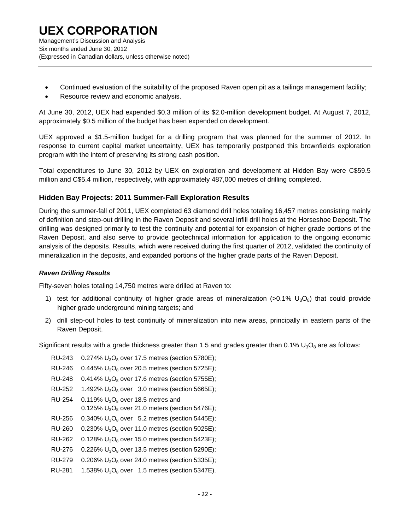- Continued evaluation of the suitability of the proposed Raven open pit as a tailings management facility;
- Resource review and economic analysis.

At June 30, 2012, UEX had expended \$0.3 million of its \$2.0-million development budget. At August 7, 2012, approximately \$0.5 million of the budget has been expended on development.

UEX approved a \$1.5-million budget for a drilling program that was planned for the summer of 2012. In response to current capital market uncertainty, UEX has temporarily postponed this brownfields exploration program with the intent of preserving its strong cash position.

Total expenditures to June 30, 2012 by UEX on exploration and development at Hidden Bay were C\$59.5 million and C\$5.4 million, respectively, with approximately 487,000 metres of drilling completed.

### **Hidden Bay Projects: 2011 Summer-Fall Exploration Results**

During the summer-fall of 2011, UEX completed 63 diamond drill holes totaling 16,457 metres consisting mainly of definition and step-out drilling in the Raven Deposit and several infill drill holes at the Horseshoe Deposit. The drilling was designed primarily to test the continuity and potential for expansion of higher grade portions of the Raven Deposit, and also serve to provide geotechnical information for application to the ongoing economic analysis of the deposits. Results, which were received during the first quarter of 2012, validated the continuity of mineralization in the deposits, and expanded portions of the higher grade parts of the Raven Deposit.

#### *Raven Drilling Results*

Fifty-seven holes totaling 14,750 metres were drilled at Raven to:

- 1) test for additional continuity of higher grade areas of mineralization (>0.1%  $U_3O_8$ ) that could provide higher grade underground mining targets; and
- 2) drill step-out holes to test continuity of mineralization into new areas, principally in eastern parts of the Raven Deposit.

Significant results with a grade thickness greater than 1.5 and grades greater than  $0.1\%$  U<sub>3</sub>O<sub>8</sub> are as follows:

| RU-243        | 0.274% $U_3O_8$ over 17.5 metres (section 5780E);                         |
|---------------|---------------------------------------------------------------------------|
| RU-246        | 0.445% $U_3O_8$ over 20.5 metres (section 5725E);                         |
| <b>RU-248</b> | 0.414% $U_3O_8$ over 17.6 metres (section 5755E);                         |
| <b>RU-252</b> | 1.492% $U_3O_8$ over 3.0 metres (section 5665E);                          |
| <b>RU-254</b> | 0.119% $U_3O_8$ over 18.5 metres and                                      |
|               | 0.125% $U_3O_8$ over 21.0 meters (section 5476E);                         |
| RU-256        | $0.340\%$ U <sub>3</sub> O <sub>8</sub> over 5.2 metres (section 5445E);  |
| RU-260        | $0.230\%$ U <sub>3</sub> O <sub>8</sub> over 11.0 metres (section 5025E); |
| <b>RU-262</b> | $0.128\%$ U <sub>3</sub> O <sub>8</sub> over 15.0 metres (section 5423E); |
| <b>RU-276</b> | $0.226\%$ U <sub>3</sub> O <sub>8</sub> over 13.5 metres (section 5290E); |
| RU-279        | 0.206% $U_3O_8$ over 24.0 metres (section 5335E);                         |
| RU-281        | 1.538% $U_3O_8$ over 1.5 metres (section 5347E).                          |
|               |                                                                           |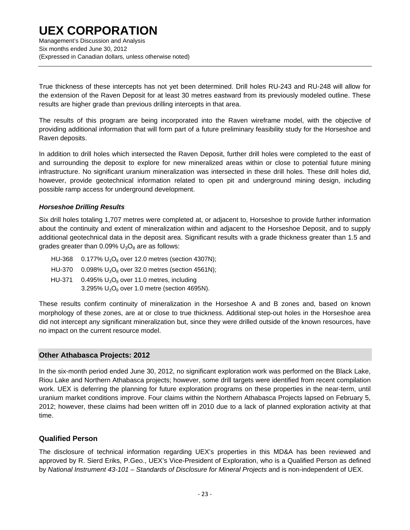Management's Discussion and Analysis Six months ended June 30, 2012 (Expressed in Canadian dollars, unless otherwise noted)

True thickness of these intercepts has not yet been determined. Drill holes RU-243 and RU-248 will allow for the extension of the Raven Deposit for at least 30 metres eastward from its previously modeled outline. These results are higher grade than previous drilling intercepts in that area.

The results of this program are being incorporated into the Raven wireframe model, with the objective of providing additional information that will form part of a future preliminary feasibility study for the Horseshoe and Raven deposits.

In addition to drill holes which intersected the Raven Deposit, further drill holes were completed to the east of and surrounding the deposit to explore for new mineralized areas within or close to potential future mining infrastructure. No significant uranium mineralization was intersected in these drill holes. These drill holes did, however, provide geotechnical information related to open pit and underground mining design, including possible ramp access for underground development.

### *Horseshoe Drilling Results*

Six drill holes totaling 1,707 metres were completed at, or adjacent to, Horseshoe to provide further information about the continuity and extent of mineralization within and adjacent to the Horseshoe Deposit, and to supply additional geotechnical data in the deposit area. Significant results with a grade thickness greater than 1.5 and grades greater than  $0.09\%$  U<sub>3</sub>O<sub>8</sub> are as follows:

HU-368  $0.177\% U_3O_8$  over 12.0 metres (section 4307N); HU-370 0.098%  $U_3O_8$  over 32.0 metres (section 4561N); HU-371 0.495%  $U_3O_8$  over 11.0 metres, including  $3.295\%$  U<sub>3</sub>O<sub>8</sub> over 1.0 metre (section 4695N).

These results confirm continuity of mineralization in the Horseshoe A and B zones and, based on known morphology of these zones, are at or close to true thickness. Additional step-out holes in the Horseshoe area did not intercept any significant mineralization but, since they were drilled outside of the known resources, have no impact on the current resource model.

### **Other Athabasca Projects: 2012**

In the six-month period ended June 30, 2012, no significant exploration work was performed on the Black Lake, Riou Lake and Northern Athabasca projects; however, some drill targets were identified from recent compilation work. UEX is deferring the planning for future exploration programs on these properties in the near-term, until uranium market conditions improve. Four claims within the Northern Athabasca Projects lapsed on February 5, 2012; however, these claims had been written off in 2010 due to a lack of planned exploration activity at that time.

### **Qualified Person**

The disclosure of technical information regarding UEX's properties in this MD&A has been reviewed and approved by R. Sierd Eriks, P.Geo., UEX's Vice-President of Exploration, who is a Qualified Person as defined by *National Instrument 43-101 – Standards of Disclosure for Mineral Projects* and is non-independent of UEX.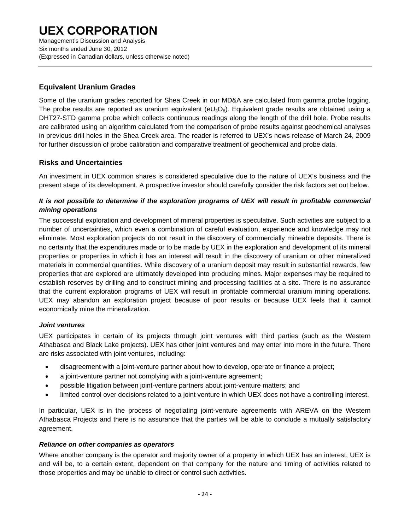Management's Discussion and Analysis Six months ended June 30, 2012 (Expressed in Canadian dollars, unless otherwise noted)

### **Equivalent Uranium Grades**

Some of the uranium grades reported for Shea Creek in our MD&A are calculated from gamma probe logging. The probe results are reported as uranium equivalent ( $eU_3O_8$ ). Equivalent grade results are obtained using a DHT27-STD gamma probe which collects continuous readings along the length of the drill hole. Probe results are calibrated using an algorithm calculated from the comparison of probe results against geochemical analyses in previous drill holes in the Shea Creek area. The reader is referred to UEX's news release of March 24, 2009 for further discussion of probe calibration and comparative treatment of geochemical and probe data.

### **Risks and Uncertainties**

An investment in UEX common shares is considered speculative due to the nature of UEX's business and the present stage of its development. A prospective investor should carefully consider the risk factors set out below.

### *It is not possible to determine if the exploration programs of UEX will result in profitable commercial mining operations*

The successful exploration and development of mineral properties is speculative. Such activities are subject to a number of uncertainties, which even a combination of careful evaluation, experience and knowledge may not eliminate. Most exploration projects do not result in the discovery of commercially mineable deposits. There is no certainty that the expenditures made or to be made by UEX in the exploration and development of its mineral properties or properties in which it has an interest will result in the discovery of uranium or other mineralized materials in commercial quantities. While discovery of a uranium deposit may result in substantial rewards, few properties that are explored are ultimately developed into producing mines. Major expenses may be required to establish reserves by drilling and to construct mining and processing facilities at a site. There is no assurance that the current exploration programs of UEX will result in profitable commercial uranium mining operations. UEX may abandon an exploration project because of poor results or because UEX feels that it cannot economically mine the mineralization.

### *Joint ventures*

UEX participates in certain of its projects through joint ventures with third parties (such as the Western Athabasca and Black Lake projects). UEX has other joint ventures and may enter into more in the future. There are risks associated with joint ventures, including:

- disagreement with a joint-venture partner about how to develop, operate or finance a project;
- a joint-venture partner not complying with a joint-venture agreement;
- possible litigation between joint-venture partners about joint-venture matters; and
- limited control over decisions related to a joint venture in which UEX does not have a controlling interest.

In particular, UEX is in the process of negotiating joint-venture agreements with AREVA on the Western Athabasca Projects and there is no assurance that the parties will be able to conclude a mutually satisfactory agreement.

#### *Reliance on other companies as operators*

Where another company is the operator and majority owner of a property in which UEX has an interest, UEX is and will be, to a certain extent, dependent on that company for the nature and timing of activities related to those properties and may be unable to direct or control such activities.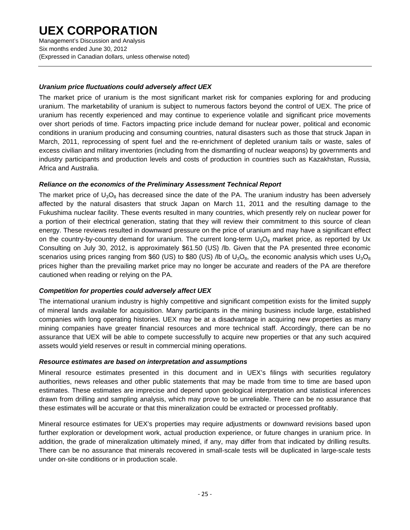Management's Discussion and Analysis Six months ended June 30, 2012 (Expressed in Canadian dollars, unless otherwise noted)

### *Uranium price fluctuations could adversely affect UEX*

The market price of uranium is the most significant market risk for companies exploring for and producing uranium. The marketability of uranium is subject to numerous factors beyond the control of UEX. The price of uranium has recently experienced and may continue to experience volatile and significant price movements over short periods of time. Factors impacting price include demand for nuclear power, political and economic conditions in uranium producing and consuming countries, natural disasters such as those that struck Japan in March, 2011, reprocessing of spent fuel and the re-enrichment of depleted uranium tails or waste, sales of excess civilian and military inventories (including from the dismantling of nuclear weapons) by governments and industry participants and production levels and costs of production in countries such as Kazakhstan, Russia, Africa and Australia.

### *Reliance on the economics of the Preliminary Assessment Technical Report*

The market price of  $U_3O_8$  has decreased since the date of the PA. The uranium industry has been adversely affected by the natural disasters that struck Japan on March 11, 2011 and the resulting damage to the Fukushima nuclear facility. These events resulted in many countries, which presently rely on nuclear power for a portion of their electrical generation, stating that they will review their commitment to this source of clean energy. These reviews resulted in downward pressure on the price of uranium and may have a significant effect on the country-by-country demand for uranium. The current long-term  $U_3O_8$  market price, as reported by Ux Consulting on July 30, 2012, is approximately \$61.50 (US) /lb. Given that the PA presented three economic scenarios using prices ranging from \$60 (US) to \$80 (US) /lb of  $U_3O_8$ , the economic analysis which uses  $U_3O_8$ prices higher than the prevailing market price may no longer be accurate and readers of the PA are therefore cautioned when reading or relying on the PA.

#### *Competition for properties could adversely affect UEX*

The international uranium industry is highly competitive and significant competition exists for the limited supply of mineral lands available for acquisition. Many participants in the mining business include large, established companies with long operating histories. UEX may be at a disadvantage in acquiring new properties as many mining companies have greater financial resources and more technical staff. Accordingly, there can be no assurance that UEX will be able to compete successfully to acquire new properties or that any such acquired assets would yield reserves or result in commercial mining operations.

#### *Resource estimates are based on interpretation and assumptions*

Mineral resource estimates presented in this document and in UEX's filings with securities regulatory authorities, news releases and other public statements that may be made from time to time are based upon estimates. These estimates are imprecise and depend upon geological interpretation and statistical inferences drawn from drilling and sampling analysis, which may prove to be unreliable. There can be no assurance that these estimates will be accurate or that this mineralization could be extracted or processed profitably.

Mineral resource estimates for UEX's properties may require adjustments or downward revisions based upon further exploration or development work, actual production experience, or future changes in uranium price. In addition, the grade of mineralization ultimately mined, if any, may differ from that indicated by drilling results. There can be no assurance that minerals recovered in small-scale tests will be duplicated in large-scale tests under on-site conditions or in production scale.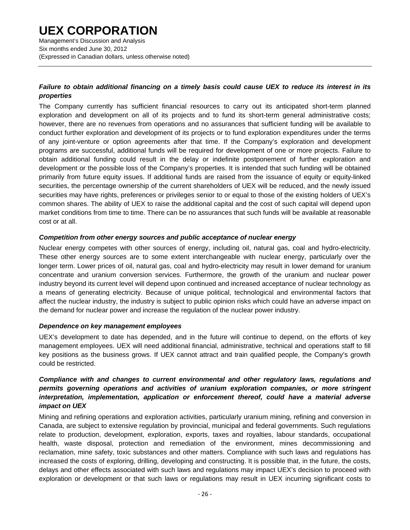Management's Discussion and Analysis Six months ended June 30, 2012 (Expressed in Canadian dollars, unless otherwise noted)

### *Failure to obtain additional financing on a timely basis could cause UEX to reduce its interest in its properties*

The Company currently has sufficient financial resources to carry out its anticipated short-term planned exploration and development on all of its projects and to fund its short-term general administrative costs; however, there are no revenues from operations and no assurances that sufficient funding will be available to conduct further exploration and development of its projects or to fund exploration expenditures under the terms of any joint-venture or option agreements after that time. If the Company's exploration and development programs are successful, additional funds will be required for development of one or more projects. Failure to obtain additional funding could result in the delay or indefinite postponement of further exploration and development or the possible loss of the Company's properties. It is intended that such funding will be obtained primarily from future equity issues. If additional funds are raised from the issuance of equity or equity-linked securities, the percentage ownership of the current shareholders of UEX will be reduced, and the newly issued securities may have rights, preferences or privileges senior to or equal to those of the existing holders of UEX's common shares. The ability of UEX to raise the additional capital and the cost of such capital will depend upon market conditions from time to time. There can be no assurances that such funds will be available at reasonable cost or at all.

#### *Competition from other energy sources and public acceptance of nuclear energy*

Nuclear energy competes with other sources of energy, including oil, natural gas, coal and hydro-electricity. These other energy sources are to some extent interchangeable with nuclear energy, particularly over the longer term. Lower prices of oil, natural gas, coal and hydro-electricity may result in lower demand for uranium concentrate and uranium conversion services. Furthermore, the growth of the uranium and nuclear power industry beyond its current level will depend upon continued and increased acceptance of nuclear technology as a means of generating electricity. Because of unique political, technological and environmental factors that affect the nuclear industry, the industry is subject to public opinion risks which could have an adverse impact on the demand for nuclear power and increase the regulation of the nuclear power industry.

#### *Dependence on key management employees*

UEX's development to date has depended, and in the future will continue to depend, on the efforts of key management employees. UEX will need additional financial, administrative, technical and operations staff to fill key positions as the business grows. If UEX cannot attract and train qualified people, the Company's growth could be restricted.

#### *Compliance with and changes to current environmental and other regulatory laws, regulations and permits governing operations and activities of uranium exploration companies, or more stringent interpretation, implementation, application or enforcement thereof, could have a material adverse impact on UEX*

Mining and refining operations and exploration activities, particularly uranium mining, refining and conversion in Canada, are subject to extensive regulation by provincial, municipal and federal governments. Such regulations relate to production, development, exploration, exports, taxes and royalties, labour standards, occupational health, waste disposal, protection and remediation of the environment, mines decommissioning and reclamation, mine safety, toxic substances and other matters. Compliance with such laws and regulations has increased the costs of exploring, drilling, developing and constructing. It is possible that, in the future, the costs, delays and other effects associated with such laws and regulations may impact UEX's decision to proceed with exploration or development or that such laws or regulations may result in UEX incurring significant costs to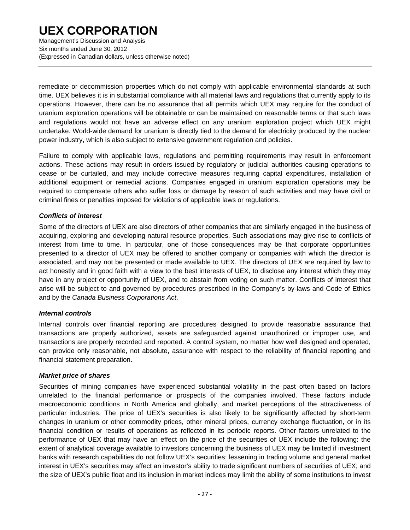Management's Discussion and Analysis Six months ended June 30, 2012 (Expressed in Canadian dollars, unless otherwise noted)

remediate or decommission properties which do not comply with applicable environmental standards at such time. UEX believes it is in substantial compliance with all material laws and regulations that currently apply to its operations. However, there can be no assurance that all permits which UEX may require for the conduct of uranium exploration operations will be obtainable or can be maintained on reasonable terms or that such laws and regulations would not have an adverse effect on any uranium exploration project which UEX might undertake. World-wide demand for uranium is directly tied to the demand for electricity produced by the nuclear power industry, which is also subject to extensive government regulation and policies.

Failure to comply with applicable laws, regulations and permitting requirements may result in enforcement actions. These actions may result in orders issued by regulatory or judicial authorities causing operations to cease or be curtailed, and may include corrective measures requiring capital expenditures, installation of additional equipment or remedial actions. Companies engaged in uranium exploration operations may be required to compensate others who suffer loss or damage by reason of such activities and may have civil or criminal fines or penalties imposed for violations of applicable laws or regulations.

#### *Conflicts of interest*

Some of the directors of UEX are also directors of other companies that are similarly engaged in the business of acquiring, exploring and developing natural resource properties. Such associations may give rise to conflicts of interest from time to time. In particular, one of those consequences may be that corporate opportunities presented to a director of UEX may be offered to another company or companies with which the director is associated, and may not be presented or made available to UEX. The directors of UEX are required by law to act honestly and in good faith with a view to the best interests of UEX, to disclose any interest which they may have in any project or opportunity of UEX, and to abstain from voting on such matter. Conflicts of interest that arise will be subject to and governed by procedures prescribed in the Company's by-laws and Code of Ethics and by the *Canada Business Corporations Act*.

#### *Internal controls*

Internal controls over financial reporting are procedures designed to provide reasonable assurance that transactions are properly authorized, assets are safeguarded against unauthorized or improper use, and transactions are properly recorded and reported. A control system, no matter how well designed and operated, can provide only reasonable, not absolute, assurance with respect to the reliability of financial reporting and financial statement preparation.

#### *Market price of shares*

Securities of mining companies have experienced substantial volatility in the past often based on factors unrelated to the financial performance or prospects of the companies involved. These factors include macroeconomic conditions in North America and globally, and market perceptions of the attractiveness of particular industries. The price of UEX's securities is also likely to be significantly affected by short-term changes in uranium or other commodity prices, other mineral prices, currency exchange fluctuation, or in its financial condition or results of operations as reflected in its periodic reports. Other factors unrelated to the performance of UEX that may have an effect on the price of the securities of UEX include the following: the extent of analytical coverage available to investors concerning the business of UEX may be limited if investment banks with research capabilities do not follow UEX's securities; lessening in trading volume and general market interest in UEX's securities may affect an investor's ability to trade significant numbers of securities of UEX; and the size of UEX's public float and its inclusion in market indices may limit the ability of some institutions to invest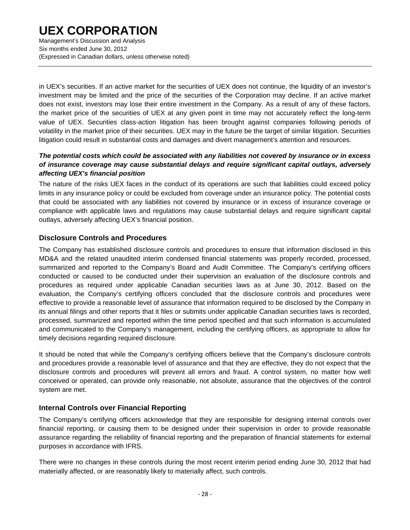Management's Discussion and Analysis Six months ended June 30, 2012 (Expressed in Canadian dollars, unless otherwise noted)

in UEX's securities. If an active market for the securities of UEX does not continue, the liquidity of an investor's investment may be limited and the price of the securities of the Corporation may decline. If an active market does not exist, investors may lose their entire investment in the Company. As a result of any of these factors, the market price of the securities of UEX at any given point in time may not accurately reflect the long-term value of UEX. Securities class-action litigation has been brought against companies following periods of volatility in the market price of their securities. UEX may in the future be the target of similar litigation. Securities litigation could result in substantial costs and damages and divert management's attention and resources.

### *The potential costs which could be associated with any liabilities not covered by insurance or in excess of insurance coverage may cause substantial delays and require significant capital outlays, adversely affecting UEX's financial position*

The nature of the risks UEX faces in the conduct of its operations are such that liabilities could exceed policy limits in any insurance policy or could be excluded from coverage under an insurance policy. The potential costs that could be associated with any liabilities not covered by insurance or in excess of insurance coverage or compliance with applicable laws and regulations may cause substantial delays and require significant capital outlays, adversely affecting UEX's financial position.

### **Disclosure Controls and Procedures**

The Company has established disclosure controls and procedures to ensure that information disclosed in this MD&A and the related unaudited interim condensed financial statements was properly recorded, processed, summarized and reported to the Company's Board and Audit Committee. The Company's certifying officers conducted or caused to be conducted under their supervision an evaluation of the disclosure controls and procedures as required under applicable Canadian securities laws as at June 30, 2012. Based on the evaluation, the Company's certifying officers concluded that the disclosure controls and procedures were effective to provide a reasonable level of assurance that information required to be disclosed by the Company in its annual filings and other reports that it files or submits under applicable Canadian securities laws is recorded, processed, summarized and reported within the time period specified and that such information is accumulated and communicated to the Company's management, including the certifying officers, as appropriate to allow for timely decisions regarding required disclosure.

It should be noted that while the Company's certifying officers believe that the Company's disclosure controls and procedures provide a reasonable level of assurance and that they are effective, they do not expect that the disclosure controls and procedures will prevent all errors and fraud. A control system, no matter how well conceived or operated, can provide only reasonable, not absolute, assurance that the objectives of the control system are met.

### **Internal Controls over Financial Reporting**

The Company's certifying officers acknowledge that they are responsible for designing internal controls over financial reporting, or causing them to be designed under their supervision in order to provide reasonable assurance regarding the reliability of financial reporting and the preparation of financial statements for external purposes in accordance with IFRS.

There were no changes in these controls during the most recent interim period ending June 30, 2012 that had materially affected, or are reasonably likely to materially affect, such controls.